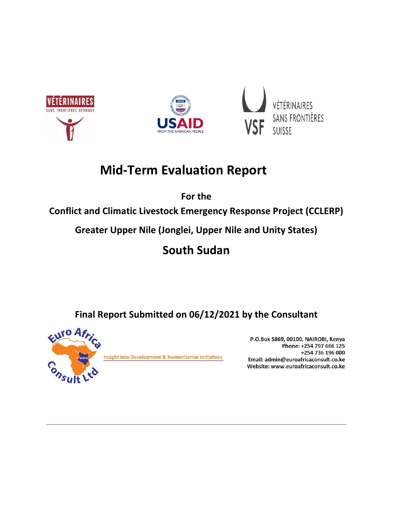





# **Mid-Term Evaluation Report**

**For the**

**Conflict and Climatic Livestock Emergency Response Project (CCLERP)**

**Greater Upper Nile (Jonglei, Upper Nile and Unity States)**

# **South Sudan**

**Final Report Submitted on 06/12/2021 by the Consultant**



**Insight into Development & Humanitarian Initiatives** 

P.O.Box 5869, 00100, NAIROBI, Kenya Phone: +254 797 666 125 +254 736 196 000 Email: admin@euroafricaconsult.co.ke Website: www.euroafricaconsult.co.ke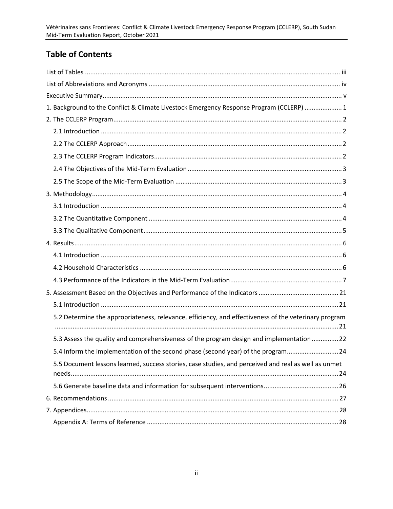## **Table of Contents**

| 1. Background to the Conflict & Climate Livestock Emergency Response Program (CCLERP)  1              |  |
|-------------------------------------------------------------------------------------------------------|--|
|                                                                                                       |  |
|                                                                                                       |  |
|                                                                                                       |  |
|                                                                                                       |  |
|                                                                                                       |  |
|                                                                                                       |  |
|                                                                                                       |  |
|                                                                                                       |  |
|                                                                                                       |  |
|                                                                                                       |  |
|                                                                                                       |  |
|                                                                                                       |  |
|                                                                                                       |  |
|                                                                                                       |  |
|                                                                                                       |  |
|                                                                                                       |  |
| 5.2 Determine the appropriateness, relevance, efficiency, and effectiveness of the veterinary program |  |
|                                                                                                       |  |
| 5.3 Assess the quality and comprehensiveness of the program design and implementation  22             |  |
| 5.4 Inform the implementation of the second phase (second year) of the program 24                     |  |
| 5.5 Document lessons learned, success stories, case studies, and perceived and real as well as unmet  |  |
|                                                                                                       |  |
|                                                                                                       |  |
|                                                                                                       |  |
|                                                                                                       |  |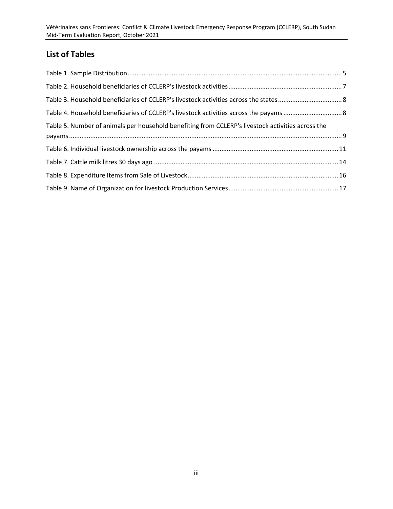## <span id="page-2-0"></span>**List of Tables**

| Table 5. Number of animals per household benefiting from CCLERP's livestock activities across the |  |
|---------------------------------------------------------------------------------------------------|--|
|                                                                                                   |  |
|                                                                                                   |  |
|                                                                                                   |  |
|                                                                                                   |  |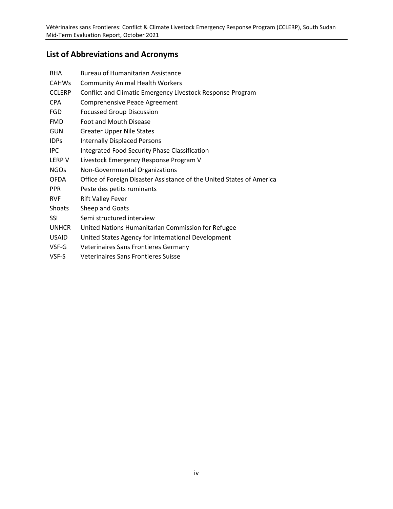## <span id="page-3-0"></span>**List of Abbreviations and Acronyms**

| <b>BHA</b>    | <b>Bureau of Humanitarian Assistance</b>                              |
|---------------|-----------------------------------------------------------------------|
|               |                                                                       |
| <b>CAHWs</b>  | <b>Community Animal Health Workers</b>                                |
| <b>CCLERP</b> | Conflict and Climatic Emergency Livestock Response Program            |
| CPA           | Comprehensive Peace Agreement                                         |
| <b>FGD</b>    | <b>Focussed Group Discussion</b>                                      |
| <b>FMD</b>    | Foot and Mouth Disease                                                |
| <b>GUN</b>    | <b>Greater Upper Nile States</b>                                      |
| <b>IDPs</b>   | <b>Internally Displaced Persons</b>                                   |
| IPC.          | <b>Integrated Food Security Phase Classification</b>                  |
| LERP V        | Livestock Emergency Response Program V                                |
| <b>NGOs</b>   | Non-Governmental Organizations                                        |
| <b>OFDA</b>   | Office of Foreign Disaster Assistance of the United States of America |
| <b>PPR</b>    | Peste des petits ruminants                                            |
| <b>RVF</b>    | <b>Rift Valley Fever</b>                                              |
| Shoats        | Sheep and Goats                                                       |
| SSI           | Semi structured interview                                             |
| <b>UNHCR</b>  | United Nations Humanitarian Commission for Refugee                    |
| <b>USAID</b>  | United States Agency for International Development                    |
| VSF-G         | Veterinaires Sans Frontieres Germany                                  |
| $100 - 0$     | Mataninalnaa Cana Fuantianaa Culaas                                   |

VSF-S Veterinaires Sans Frontieres Suisse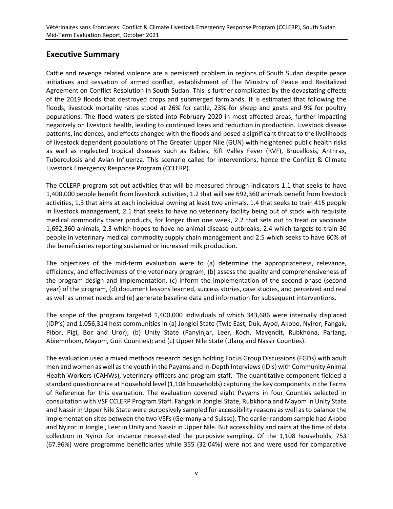### <span id="page-4-0"></span>**Executive Summary**

Cattle and revenge related violence are a persistent problem in regions of South Sudan despite peace initiatives and cessation of armed conflict, establishment of The Ministry of Peace and Revitalized Agreement on Conflict Resolution in South Sudan. This is further complicated by the devastating effects of the 2019 floods that destroyed crops and submerged farmlands. It is estimated that following the floods, livestock mortality rates stood at 26% for cattle, 23% for sheep and goats and 9% for poultry populations. The flood waters persisted into February 2020 in most affected areas, further impacting negatively on livestock health, leading to continued loses and reduction in production. Livestock disease patterns, incidences, and effects changed with the floods and posed a significant threat to the livelihoods of livestock dependent populations of The Greater Upper Nile (GUN) with heightened public health risks as well as neglected tropical diseases such as Rabies, Rift Valley Fever (RVF), Brucellosis, Anthrax, Tuberculosis and Avian Influenza. This scenario called for interventions, hence the Conflict & Climate Livestock Emergency Response Program (CCLERP).

The CCLERP program set out activities that will be measured through indicators 1.1 that seeks to have 1,400,000 people benefit from livestock activities, 1.2 that will see 692,360 animals benefit from livestock activities, 1.3 that aims at each individual owning at least two animals, 1.4 that seeks to train 415 people in livestock management, 2.1 that seeks to have no veterinary facility being out of stock with requisite medical commodity tracer products, for longer than one week, 2.2 that sets out to treat or vaccinate 1,692,360 animals, 2.3 which hopes to have no animal disease outbreaks, 2.4 which targets to train 30 people in veterinary medical commodity supply chain management and 2.5 which seeks to have 60% of the beneficiaries reporting sustained or increased milk production.

The objectives of the mid-term evaluation were to (a) determine the appropriateness, relevance, efficiency, and effectiveness of the veterinary program, (b) assess the quality and comprehensiveness of the program design and implementation, (c) inform the implementation of the second phase (second year) of the program, (d) document lessons learned, success stories, case studies, and perceived and real as well as unmet needs and (e) generate baseline data and information for subsequent interventions.

The scope of the program targeted 1,400,000 individuals of which 343,686 were internally displaced (IDP's) and 1,056,314 host communities in (a) Jonglei State (Twic East, Duk, Ayod, Akobo, Nyiror, Fangak, Pibor, Pigi, Bor and Uror); (b) Unity State (Panyinjar, Leer, Koch, Mayendit, Rubkhona, Pariang, Abiemnhom, Mayom, Guit Counties); and (c) Upper Nile State (Ulang and Nassir Counties).

The evaluation used a mixed methods research design holding Focus Group Discussions (FGDs) with adult men and women as well as the youth in the Payams and In-Depth Interviews (IDIs) with Community Animal Health Workers (CAHWs), veterinary officers and program staff. The quantitative component fielded a standard questionnaire at household level (1,108 households) capturing the key components in the Terms of Reference for this evaluation. The evaluation covered eight Payams in four Counties selected in consultation with VSF CCLERP Program Staff. Fangak in Jonglei State, Rubkhona and Mayom in Unity State and Nassir in Upper Nile State were purposively sampled for accessibility reasons as well as to balance the implementation sites between the two VSFs (Germany and Suisse). The earlier random sample had Akobo and Nyiror in Jonglei, Leer in Unity and Nassir in Upper Nile. But accessibility and rains at the time of data collection in Nyiror for instance necessitated the purposive sampling. Of the 1,108 households, 753 (67.96%) were programme beneficiaries while 355 (32.04%) were not and were used for comparative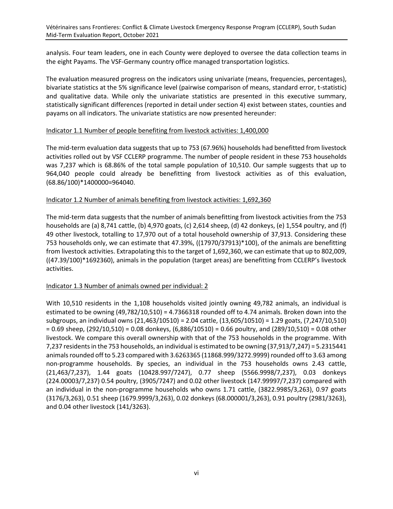analysis. Four team leaders, one in each County were deployed to oversee the data collection teams in the eight Payams. The VSF-Germany country office managed transportation logistics.

The evaluation measured progress on the indicators using univariate (means, frequencies, percentages), bivariate statistics at the 5% significance level (pairwise comparison of means, standard error, t-statistic) and qualitative data. While only the univariate statistics are presented in this executive summary, statistically significant differences (reported in detail under section 4) exist between states, counties and payams on all indicators. The univariate statistics are now presented hereunder:

#### Indicator 1.1 Number of people benefiting from livestock activities: 1,400,000

The mid-term evaluation data suggests that up to 753 (67.96%) households had benefitted from livestock activities rolled out by VSF CCLERP programme. The number of people resident in these 753 households was 7,237 which is 68.86% of the total sample population of 10,510. Our sample suggests that up to 964,040 people could already be benefitting from livestock activities as of this evaluation, (68.86/100)\*1400000=964040.

#### Indicator 1.2 Number of animals benefiting from livestock activities: 1,692,360

The mid-term data suggests that the number of animals benefitting from livestock activities from the 753 households are (a) 8,741 cattle, (b) 4,970 goats, (c) 2,614 sheep, (d) 42 donkeys, (e) 1,554 poultry, and (f) 49 other livestock, totalling to 17,970 out of a total household ownership of 37,913. Considering these 753 households only, we can estimate that 47.39%, ((17970/37913)\*100), of the animals are benefitting from livestock activities. Extrapolating this to the target of 1,692,360, we can estimate that up to 802,009, ((47.39/100)\*1692360), animals in the population (target areas) are benefitting from CCLERP's livestock activities.

#### Indicator 1.3 Number of animals owned per individual: 2

With 10,510 residents in the 1,108 households visited jointly owning 49,782 animals, an individual is estimated to be owning (49,782/10,510) = 4.7366318 rounded off to 4.74 animals. Broken down into the subgroups, an individual owns (21,463/10510) = 2.04 cattle, (13,605/10510) = 1.29 goats, (7,247/10,510) = 0.69 sheep, (292/10,510) = 0.08 donkeys, (6,886/10510) = 0.66 poultry, and (289/10,510) = 0.08 other livestock. We compare this overall ownership with that of the 753 households in the programme. With 7,237 residents in the 753 households, an individual is estimated to be owning (37,913/7,247) = 5.2315441 animals rounded off to 5.23 compared with 3.6263365 (11868.999/3272.9999) rounded off to 3.63 among non-programme households. By species, an individual in the 753 households owns 2.43 cattle, (21,463/7,237), 1.44 goats (10428.997/7247), 0.77 sheep (5566.9998/7,237), 0.03 donkeys (224.00003/7,237) 0.54 poultry, (3905/7247) and 0.02 other livestock (147.99997/7,237) compared with an individual in the non-programme households who owns 1.71 cattle, (3822.9985/3,263), 0.97 goats (3176/3,263), 0.51 sheep (1679.9999/3,263), 0.02 donkeys (68.000001/3,263), 0.91 poultry (2981/3263), and 0.04 other livestock (141/3263).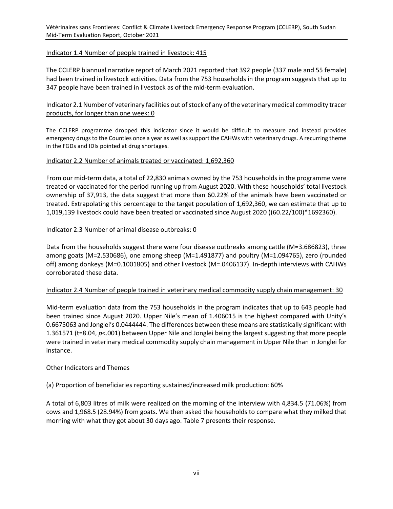#### Indicator 1.4 Number of people trained in livestock: 415

The CCLERP biannual narrative report of March 2021 reported that 392 people (337 male and 55 female) had been trained in livestock activities. Data from the 753 households in the program suggests that up to 347 people have been trained in livestock as of the mid-term evaluation.

#### Indicator 2.1 Number of veterinary facilities out of stock of any of the veterinary medical commodity tracer products, for longer than one week: 0

The CCLERP programme dropped this indicator since it would be difficult to measure and instead provides emergency drugs to the Counties once a year as well as support the CAHWs with veterinary drugs. A recurring theme in the FGDs and IDIs pointed at drug shortages.

#### Indicator 2.2 Number of animals treated or vaccinated: 1,692,360

From our mid-term data, a total of 22,830 animals owned by the 753 households in the programme were treated or vaccinated for the period running up from August 2020. With these households' total livestock ownership of 37,913, the data suggest that more than 60.22% of the animals have been vaccinated or treated. Extrapolating this percentage to the target population of 1,692,360, we can estimate that up to 1,019,139 livestock could have been treated or vaccinated since August 2020 ((60.22/100)\*1692360).

#### Indicator 2.3 Number of animal disease outbreaks: 0

Data from the households suggest there were four disease outbreaks among cattle (M=3.686823), three among goats (M=2.530686), one among sheep (M=1.491877) and poultry (M=1.094765), zero (rounded off) among donkeys (M=0.1001805) and other livestock (M=.0406137). In-depth interviews with CAHWs corroborated these data.

#### Indicator 2.4 Number of people trained in veterinary medical commodity supply chain management: 30

Mid-term evaluation data from the 753 households in the program indicates that up to 643 people had been trained since August 2020. Upper Nile's mean of 1.406015 is the highest compared with Unity's 0.6675063 and Jonglei's 0.0444444. The differences between these means are statistically significant with 1.361571 (t=8.04, *p*<.001) between Upper Nile and Jonglei being the largest suggesting that more people were trained in veterinary medical commodity supply chain management in Upper Nile than in Jonglei for instance.

#### Other Indicators and Themes

#### (a) Proportion of beneficiaries reporting sustained/increased milk production: 60%

A total of 6,803 litres of milk were realized on the morning of the interview with 4,834.5 (71.06%) from cows and 1,968.5 (28.94%) from goats. We then asked the households to compare what they milked that morning with what they got about 30 days ago. Table 7 presents their response.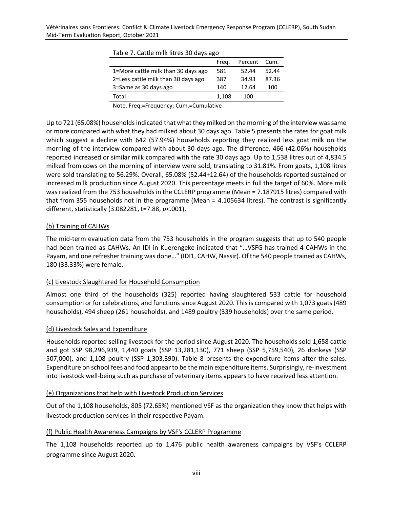| Table 7. Cattle Think littles 50 days ago |       |         |       |  |  |  |  |  |
|-------------------------------------------|-------|---------|-------|--|--|--|--|--|
|                                           | Freg. | Percent | Cum.  |  |  |  |  |  |
| 1=More cattle milk than 30 days ago       | 581   | 52.44   | 52.44 |  |  |  |  |  |
| 2=Less cattle milk than 30 days ago       | 387   | 34.93   | 87.36 |  |  |  |  |  |
| 3=Same as 30 days ago                     | 140   | 12.64   | 100   |  |  |  |  |  |
| Total                                     | 1,108 | 100     |       |  |  |  |  |  |
|                                           |       |         |       |  |  |  |  |  |

Table 7 Cattle milk litres 20 days 200

Note. Freq.=Frequency; Cum.=Cumulative

Up to 721 (65.08%) households indicated that what they milked on the morning of the interview was same or more compared with what they had milked about 30 days ago. Table 5 presents the rates for goat milk which suggest a decline with 642 (57.94%) households reporting they realized less goat milk on the morning of the interview compared with about 30 days ago. The difference, 466 (42.06%) households reported increased or similar milk compared with the rate 30 days ago. Up to 1,538 litres out of 4,834.5 milked from cows on the morning of interview were sold, translating to 31.81%. From goats, 1,108 litres were sold translating to 56.29%. Overall, 65.08% (52.44+12.64) of the households reported sustained or increased milk production since August 2020. This percentage meets in full the target of 60%. More milk was realized from the 753 households in the CCLERP programme (Mean = 7.187915 litres) compared with that from 355 households not in the programme (Mean = 4.105634 litres). The contrast is significantly different, statistically (3.082281, t=7.88,  $p$ <.001).

#### (b) Training of CAHWs

The mid-term evaluation data from the 753 households in the program suggests that up to 540 people had been trained as CAHWs. An IDI in Kuerengeke indicated that "...VSFG has trained 4 CAHWs in the Payam, and one refresher training was done..." (IDI1, CAHW, Nassir). Of the 540 people trained as CAHWs, 180 (33.33%) were female.

#### (c) Livestock Slaughtered for Household Consumption

Almost one third of the households (325) reported having slaughtered 533 cattle for household consumption or for celebrations, and functions since August 2020. This is compared with 1,073 goats (489) households), 494 sheep (261 households), and 1489 poultry (339 households) over the same period.

#### (d) Livestock Sales and Expenditure

Households reported selling livestock for the period since August 2020. The households sold 1,658 cattle and got SSP 98,296,939, 1,440 goats (SSP 13,281,130), 771 sheep (SSP 5,759,540), 26 donkeys (SSP 507,000), and 1,108 poultry (SSP 1,303,390). Table 8 presents the expenditure items after the sales. Expenditure on school fees and food appear to be the main expenditure items. Surprisingly, re-investment into livestock well-being such as purchase of veterinary items appears to have received less attention.

#### (e) Organizations that help with Livestock Production Services

Out of the 1,108 households, 805 (72.65%) mentioned VSF as the organization they know that helps with livestock production services in their respective Payam.

#### (f) Public Health Awareness Campaigns by VSF's CCLERP Programme

The 1,108 households reported up to 1,476 public health awareness campaigns by VSF's CCLERP programme since August 2020.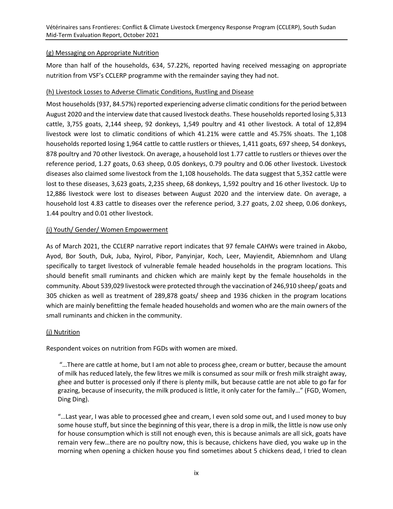#### (g) Messaging on Appropriate Nutrition

More than half of the households, 634, 57.22%, reported having received messaging on appropriate nutrition from VSF's CCLERP programme with the remainder saying they had not.

#### (h) Livestock Losses to Adverse Climatic Conditions, Rustling and Disease

Most households (937, 84.57%) reported experiencing adverse climatic conditions for the period between August 2020 and the interview date that caused livestock deaths. These households reported losing 5,313 cattle, 3,755 goats, 2,144 sheep, 92 donkeys, 1,549 poultry and 41 other livestock. A total of 12,894 livestock were lost to climatic conditions of which 41.21% were cattle and 45.75% shoats. The 1,108 households reported losing 1,964 cattle to cattle rustlers or thieves, 1,411 goats, 697 sheep, 54 donkeys, 878 poultry and 70 other livestock. On average, a household lost 1.77 cattle to rustlers or thieves over the reference period, 1.27 goats, 0.63 sheep, 0.05 donkeys, 0.79 poultry and 0.06 other livestock. Livestock diseases also claimed some livestock from the 1,108 households. The data suggest that 5,352 cattle were lost to these diseases, 3,623 goats, 2,235 sheep, 68 donkeys, 1,592 poultry and 16 other livestock. Up to 12,886 livestock were lost to diseases between August 2020 and the interview date. On average, a household lost 4.83 cattle to diseases over the reference period, 3.27 goats, 2.02 sheep, 0.06 donkeys, 1.44 poultry and 0.01 other livestock.

#### (i) Youth/ Gender/ Women Empowerment

As of March 2021, the CCLERP narrative report indicates that 97 female CAHWs were trained in Akobo, Ayod, Bor South, Duk, Juba, Nyirol, Pibor, Panyinjar, Koch, Leer, Mayiendit, Abiemnhom and Ulang specifically to target livestock of vulnerable female headed households in the program locations. This should benefit small ruminants and chicken which are mainly kept by the female households in the community. About 539,029 livestock were protected through the vaccination of 246,910 sheep/ goats and 305 chicken as well as treatment of 289,878 goats/ sheep and 1936 chicken in the program locations which are mainly benefitting the female headed households and women who are the main owners of the small ruminants and chicken in the community.

#### (j) Nutrition

Respondent voices on nutrition from FGDs with women are mixed.

"…There are cattle at home, but I am not able to process ghee, cream or butter, because the amount of milk has reduced lately, the few litres we milk is consumed as sour milk or fresh milk straight away, ghee and butter is processed only if there is plenty milk, but because cattle are not able to go far for grazing, because of insecurity, the milk produced is little, it only cater for the family…" (FGD, Women, Ding Ding).

"…Last year, I was able to processed ghee and cream, I even sold some out, and I used money to buy some house stuff, but since the beginning of this year, there is a drop in milk, the little is now use only for house consumption which is still not enough even, this is because animals are all sick, goats have remain very few…there are no poultry now, this is because, chickens have died, you wake up in the morning when opening a chicken house you find sometimes about 5 chickens dead, I tried to clean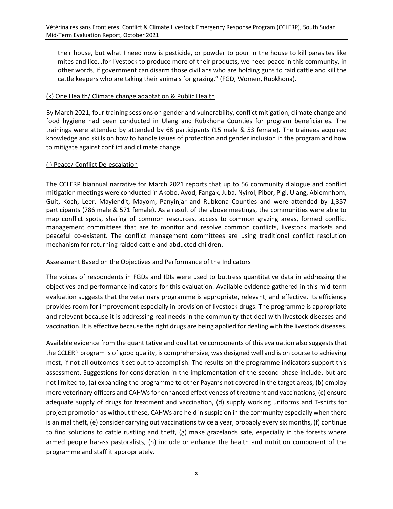their house, but what I need now is pesticide, or powder to pour in the house to kill parasites like mites and lice…for livestock to produce more of their products, we need peace in this community, in other words, if government can disarm those civilians who are holding guns to raid cattle and kill the cattle keepers who are taking their animals for grazing." (FGD, Women, Rubkhona).

#### (k) One Health/ Climate change adaptation & Public Health

By March 2021, four training sessions on gender and vulnerability, conflict mitigation, climate change and food hygiene had been conducted in Ulang and Rubkhona Counties for program beneficiaries. The trainings were attended by attended by 68 participants (15 male & 53 female). The trainees acquired knowledge and skills on how to handle issues of protection and gender inclusion in the program and how to mitigate against conflict and climate change.

#### (l) Peace/ Conflict De-escalation

The CCLERP biannual narrative for March 2021 reports that up to 56 community dialogue and conflict mitigation meetings were conducted in Akobo, Ayod, Fangak, Juba, Nyirol, Pibor, Pigi, Ulang, Abiemnhom, Guit, Koch, Leer, Mayiendit, Mayom, Panyinjar and Rubkona Counties and were attended by 1,357 participants (786 male & 571 female). As a result of the above meetings, the communities were able to map conflict spots, sharing of common resources, access to common grazing areas, formed conflict management committees that are to monitor and resolve common conflicts, livestock markets and peaceful co-existent. The conflict management committees are using traditional conflict resolution mechanism for returning raided cattle and abducted children.

#### Assessment Based on the Objectives and Performance of the Indicators

The voices of respondents in FGDs and IDIs were used to buttress quantitative data in addressing the objectives and performance indicators for this evaluation. Available evidence gathered in this mid-term evaluation suggests that the veterinary programme is appropriate, relevant, and effective. Its efficiency provides room for improvement especially in provision of livestock drugs. The programme is appropriate and relevant because it is addressing real needs in the community that deal with livestock diseases and vaccination. It is effective because the right drugs are being applied for dealing with the livestock diseases.

Available evidence from the quantitative and qualitative components of this evaluation also suggests that the CCLERP program is of good quality, is comprehensive, was designed well and is on course to achieving most, if not all outcomes it set out to accomplish. The results on the programme indicators support this assessment. Suggestions for consideration in the implementation of the second phase include, but are not limited to, (a) expanding the programme to other Payams not covered in the target areas, (b) employ more veterinary officers and CAHWs for enhanced effectiveness of treatment and vaccinations, (c) ensure adequate supply of drugs for treatment and vaccination, (d) supply working uniforms and T-shirts for project promotion as without these, CAHWs are held in suspicion in the community especially when there is animal theft, (e) consider carrying out vaccinations twice a year, probably every six months, (f) continue to find solutions to cattle rustling and theft,  $(g)$  make grazelands safe, especially in the forests where armed people harass pastoralists, (h) include or enhance the health and nutrition component of the programme and staff it appropriately.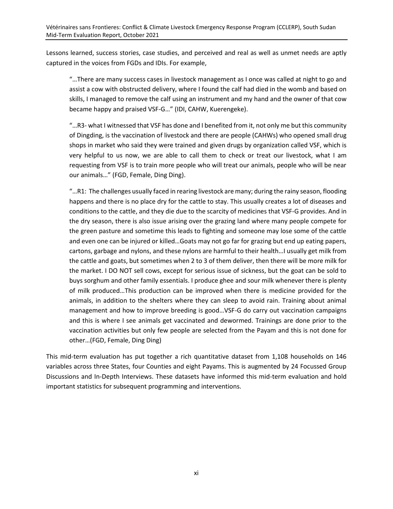Lessons learned, success stories, case studies, and perceived and real as well as unmet needs are aptly captured in the voices from FGDs and IDIs. For example,

"...There are many success cases in livestock management as I once was called at night to go and assist a cow with obstructed delivery, where I found the calf had died in the womb and based on skills, I managed to remove the calf using an instrument and my hand and the owner of that cow became happy and praised VSF-G..." (IDI, CAHW, Kuerengeke).

"...R3- what I witnessed that VSF has done and I benefited from it, not only me but this community of Dingding, is the vaccination of livestock and there are people (CAHWs) who opened small drug shops in market who said they were trained and given drugs by organization called VSF, which is very helpful to us now, we are able to call them to check or treat our livestock, what I am requesting from VSF is to train more people who will treat our animals, people who will be near our animals..." (FGD, Female, Ding Ding).

"...R1: The challenges usually faced in rearing livestock are many; during the rainy season, flooding happens and there is no place dry for the cattle to stay. This usually creates a lot of diseases and conditions to the cattle, and they die due to the scarcity of medicines that VSF-G provides. And in the dry season, there is also issue arising over the grazing land where many people compete for the green pasture and sometime this leads to fighting and someone may lose some of the cattle and even one can be injured or killed...Goats may not go far for grazing but end up eating papers, cartons, garbage and nylons, and these nylons are harmful to their health...I usually get milk from the cattle and goats, but sometimes when 2 to 3 of them deliver, then there will be more milk for the market. I DO NOT sell cows, except for serious issue of sickness, but the goat can be sold to buys sorghum and other family essentials. I produce ghee and sour milk whenever there is plenty of milk produced...This production can be improved when there is medicine provided for the animals, in addition to the shelters where they can sleep to avoid rain. Training about animal management and how to improve breeding is good...VSF-G do carry out vaccination campaigns and this is where I see animals get vaccinated and dewormed. Trainings are done prior to the vaccination activities but only few people are selected from the Payam and this is not done for other...(FGD, Female, Ding Ding)

This mid-term evaluation has put together a rich quantitative dataset from 1,108 households on 146 variables across three States, four Counties and eight Payams. This is augmented by 24 Focussed Group Discussions and In-Depth Interviews. These datasets have informed this mid-term evaluation and hold important statistics for subsequent programming and interventions.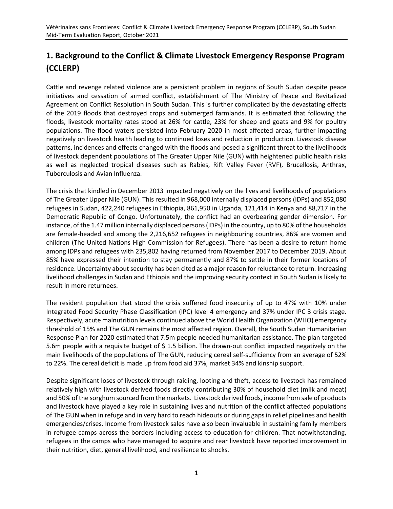## <span id="page-11-0"></span>**1. Background to the Conflict & Climate Livestock Emergency Response Program (CCLERP)**

Cattle and revenge related violence are a persistent problem in regions of South Sudan despite peace initiatives and cessation of armed conflict, establishment of The Ministry of Peace and Revitalized Agreement on Conflict Resolution in South Sudan. This is further complicated by the devastating effects of the 2019 floods that destroyed crops and submerged farmlands. It is estimated that following the floods, livestock mortality rates stood at 26% for cattle, 23% for sheep and goats and 9% for poultry populations. The flood waters persisted into February 2020 in most affected areas, further impacting negatively on livestock health leading to continued loses and reduction in production. Livestock disease patterns, incidences and effects changed with the floods and posed a significant threat to the livelihoods of livestock dependent populations of The Greater Upper Nile (GUN) with heightened public health risks as well as neglected tropical diseases such as Rabies, Rift Valley Fever (RVF), Brucellosis, Anthrax, Tuberculosis and Avian Influenza.

The crisis that kindled in December 2013 impacted negatively on the lives and livelihoods of populations of The Greater Upper Nile (GUN). This resulted in 968,000 internally displaced persons (IDPs) and 852,080 refugees in Sudan, 422,240 refugees in Ethiopia, 861,950 in Uganda, 121,414 in Kenya and 88,717 in the Democratic Republic of Congo. Unfortunately, the conflict had an overbearing gender dimension. For instance, of the 1.47 million internally displaced persons (IDPs) in the country, up to 80% of the households are female-headed and among the 2,216,652 refugees in neighbouring countries, 86% are women and children (The United Nations High Commission for Refugees). There has been a desire to return home among IDPs and refugees with 235,802 having returned from November 2017 to December 2019. About 85% have expressed their intention to stay permanently and 87% to settle in their former locations of residence. Uncertainty about security has been cited as a major reason for reluctance to return. Increasing livelihood challenges in Sudan and Ethiopia and the improving security context in South Sudan is likely to result in more returnees.

The resident population that stood the crisis suffered food insecurity of up to 47% with 10% under Integrated Food Security Phase Classification (IPC) level 4 emergency and 37% under IPC 3 crisis stage. Respectively, acute malnutrition levels continued above the World Health Organization (WHO) emergency threshold of 15% and The GUN remains the most affected region. Overall, the South Sudan Humanitarian Response Plan for 2020 estimated that 7.5m people needed humanitarian assistance. The plan targeted 5.6m people with a requisite budget of \$ 1.5 billion. The drawn-out conflict impacted negatively on the main livelihoods of the populations of The GUN, reducing cereal self-sufficiency from an average of 52% to 22%. The cereal deficit is made up from food aid 37%, market 34% and kinship support.

Despite significant loses of livestock through raiding, looting and theft, access to livestock has remained relatively high with livestock derived foods directly contributing 30% of household diet (milk and meat) and 50% of the sorghum sourced from the markets. Livestock derived foods, income from sale of products and livestock have played a key role in sustaining lives and nutrition of the conflict affected populations of The GUN when in refuge and in very hard to reach hideouts or during gaps in relief pipelines and health emergencies/crises. Income from livestock sales have also been invaluable in sustaining family members in refugee camps across the borders including access to education for children. That notwithstanding, refugees in the camps who have managed to acquire and rear livestock have reported improvement in their nutrition, diet, general livelihood, and resilience to shocks.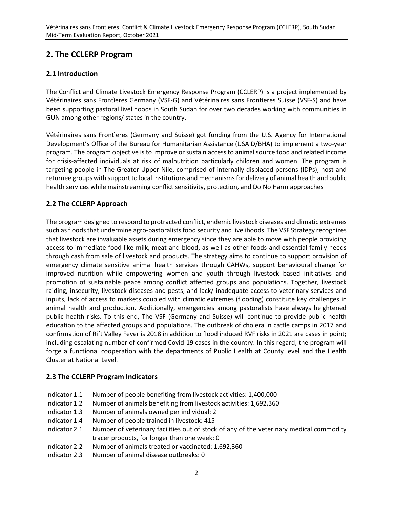## <span id="page-12-0"></span>**2. The CCLERP Program**

#### <span id="page-12-1"></span>**2.1 Introduction**

The Conflict and Climate Livestock Emergency Response Program (CCLERP) is a project implemented by Vétérinaires sans Frontìeres Germany (VSF-G) and Vétérinaires sans Frontìeres Suisse (VSF-S) and have been supporting pastoral livelihoods in South Sudan for over two decades working with communities in GUN among other regions/ states in the country.

Vétérinaires sans Frontìeres (Germany and Suisse) got funding from the U.S. Agency for International Development's Office of the Bureau for Humanitarian Assistance (USAID/BHA) to implement a two-year program. The program objective is to improve or sustain access to animal source food and related income for crisis-affected individuals at risk of malnutrition particularly children and women. The program is targeting people in The Greater Upper Nile, comprised of internally displaced persons (IDPs), host and returnee groups with support to local institutions and mechanisms for delivery of animal health and public health services while mainstreaming conflict sensitivity, protection, and Do No Harm approaches

#### <span id="page-12-2"></span>**2.2 The CCLERP Approach**

The program designed to respond to protracted conflict, endemic livestock diseases and climatic extremes such as floods that undermine agro-pastoralists food security and livelihoods. The VSF Strategy recognizes that livestock are invaluable assets during emergency since they are able to move with people providing access to immediate food like milk, meat and blood, as well as other foods and essential family needs through cash from sale of livestock and products. The strategy aims to continue to support provision of emergency climate sensitive animal health services through CAHWs, support behavioural change for improved nutrition while empowering women and youth through livestock based initiatives and promotion of sustainable peace among conflict affected groups and populations. Together, livestock raiding, insecurity, livestock diseases and pests, and lack/ inadequate access to veterinary services and inputs, lack of access to markets coupled with climatic extremes (flooding) constitute key challenges in animal health and production. Additionally, emergencies among pastoralists have always heightened public health risks. To this end, The VSF (Germany and Suisse) will continue to provide public health education to the affected groups and populations. The outbreak of cholera in cattle camps in 2017 and confirmation of Rift Valley Fever is 2018 in addition to flood induced RVF risks in 2021 are cases in point; including escalating number of confirmed Covid-19 cases in the country. In this regard, the program will forge a functional cooperation with the departments of Public Health at County level and the Health Cluster at National Level.

#### <span id="page-12-3"></span>**2.3 The CCLERP Program Indicators**

- Indicator 1.1 Number of people benefiting from livestock activities: 1,400,000
- Indicator 1.2 Number of animals benefiting from livestock activities: 1,692,360
- Indicator 1.3 Number of animals owned per individual: 2
- Indicator 1.4 Number of people trained in livestock: 415
- Indicator 2.1 Number of veterinary facilities out of stock of any of the veterinary medical commodity tracer products, for longer than one week: 0
- Indicator 2.2 Number of animals treated or vaccinated: 1,692,360
- Indicator 2.3 Number of animal disease outbreaks: 0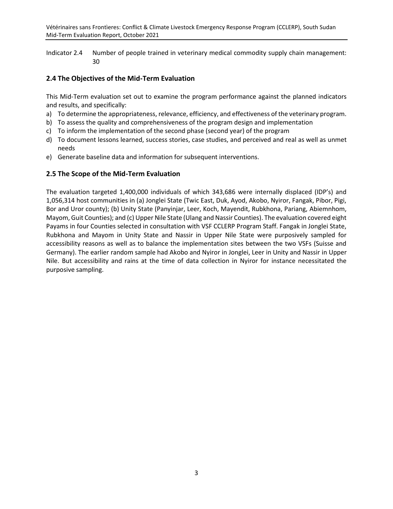Indicator 2.4 Number of people trained in veterinary medical commodity supply chain management: 30

#### <span id="page-13-0"></span>**2.4 The Objectives of the Mid-Term Evaluation**

This Mid-Term evaluation set out to examine the program performance against the planned indicators and results, and specifically:

- a) To determine the appropriateness, relevance, efficiency, and effectiveness of the veterinary program.
- b) To assess the quality and comprehensiveness of the program design and implementation
- c) To inform the implementation of the second phase (second year) of the program
- d) To document lessons learned, success stories, case studies, and perceived and real as well as unmet needs
- <span id="page-13-1"></span>e) Generate baseline data and information for subsequent interventions.

#### **2.5 The Scope of the Mid-Term Evaluation**

The evaluation targeted 1,400,000 individuals of which 343,686 were internally displaced (IDP's) and 1,056,314 host communities in (a) Jonglei State (Twic East, Duk, Ayod, Akobo, Nyiror, Fangak, Pibor, Pigi, Bor and Uror county); (b) Unity State (Panyinjar, Leer, Koch, Mayendit, Rubkhona, Pariang, Abiemnhom, Mayom, Guit Counties); and (c) Upper Nile State (Ulang and Nassir Counties). The evaluation covered eight Payams in four Counties selected in consultation with VSF CCLERP Program Staff. Fangak in Jonglei State, Rubkhona and Mayom in Unity State and Nassir in Upper Nile State were purposively sampled for accessibility reasons as well as to balance the implementation sites between the two VSFs (Suisse and Germany). The earlier random sample had Akobo and Nyiror in Jonglei, Leer in Unity and Nassir in Upper Nile. But accessibility and rains at the time of data collection in Nyiror for instance necessitated the purposive sampling.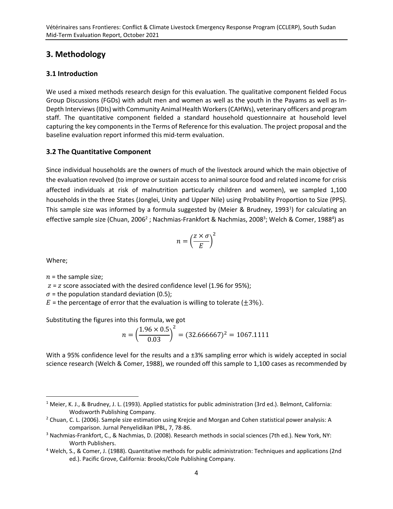## <span id="page-14-0"></span>**3. Methodology**

#### <span id="page-14-1"></span>**3.1 Introduction**

We used a mixed methods research design for this evaluation. The qualitative component fielded Focus Group Discussions (FGDs) with adult men and women as well as the youth in the Payams as well as In-Depth Interviews (IDIs) with Community Animal Health Workers (CAHWs), veterinary officers and program staff. The quantitative component fielded a standard household questionnaire at household level capturing the key components in the Terms of Reference for this evaluation. The project proposal and the baseline evaluation report informed this mid-term evaluation.

#### <span id="page-14-2"></span>**3.2 The Quantitative Component**

Since individual households are the owners of much of the livestock around which the main objective of the evaluation revolved (to improve or sustain access to animal source food and related income for crisis affected individuals at risk of malnutrition particularly children and women), we sampled 1,100 households in the three States (Jonglei, Unity and Upper Nile) using Probability Proportion to Size (PPS). This sample size was informed by a formula suggested by (Meier & Brudney, 1993<sup>1</sup>) for calculating an effective sample size (Chuan, 2006<sup>2</sup>; Nachmias-Frankfort & Nachmias, 2008<sup>3</sup>; Welch & Comer, 1988<sup>4</sup>) as

$$
n = \left(\frac{z \times \sigma}{E}\right)^2
$$

Where;

 $n =$  the sample size;

 $z = z$  score associated with the desired confidence level (1.96 for 95%);

 $\sigma$  = the population standard deviation (0.5);

 $E$  = the percentage of error that the evaluation is willing to tolerate ( $\pm 3\%$ ).

Substituting the figures into this formula, we got

$$
n = \left(\frac{1.96 \times 0.5}{0.03}\right)^2 = (32.666667)^2 = 1067.1111
$$

With a 95% confidence level for the results and a ±3% sampling error which is widely accepted in social science research (Welch & Comer, 1988), we rounded off this sample to 1,100 cases as recommended by

<sup>4</sup> Welch, S., & Comer, J. (1988). Quantitative methods for public administration: Techniques and applications (2nd ed.). Pacific Grove, California: Brooks/Cole Publishing Company.

<sup>1</sup> Meier, K. J., & Brudney, J. L. (1993). Applied statistics for public administration (3rd ed.). Belmont, California: Wodsworth Publishing Company.

<sup>&</sup>lt;sup>2</sup> Chuan, C. L. (2006). Sample size estimation using Krejcie and Morgan and Cohen statistical power analysis: A comparison. Jurnal Penyelidikan IPBL, 7, 78-86.

<sup>3</sup> Nachmias-Frankfort, C., & Nachmias, D. (2008). Research methods in social sciences (7th ed.). New York, NY: Worth Publishers.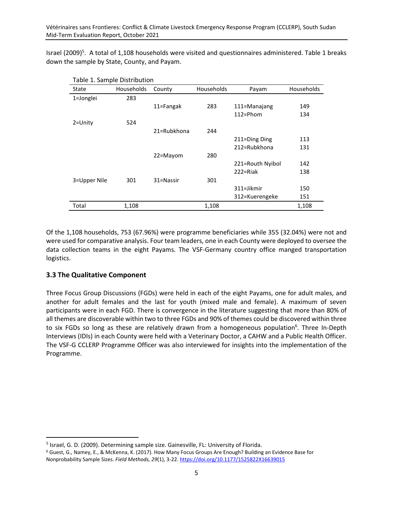Israel (2009)<sup>5</sup>. A total of 1,108 households were visited and questionnaires administered. Table 1 breaks down the sample by State, County, and Payam.

<span id="page-15-1"></span>

| Table 1. Sample Distribution |            |             |            |                  |            |  |  |  |
|------------------------------|------------|-------------|------------|------------------|------------|--|--|--|
| State                        | Households | County      | Households | Payam            | Households |  |  |  |
| 1=Jonglei                    | 283        |             |            |                  |            |  |  |  |
|                              |            | 11=Fangak   | 283        | 111=Manajang     | 149        |  |  |  |
|                              |            |             |            | $112 = Phom$     | 134        |  |  |  |
| $2 =$ Unity                  | 524        |             |            |                  |            |  |  |  |
|                              |            | 21=Rubkhona | 244        |                  |            |  |  |  |
|                              |            |             |            | 211=Ding Ding    | 113        |  |  |  |
|                              |            |             |            | 212=Rubkhona     | 131        |  |  |  |
|                              |            | 22=Mayom    | 280        |                  |            |  |  |  |
|                              |            |             |            | 221=Routh Nyibol | 142        |  |  |  |
|                              |            |             |            | $222 =$ Riak     | 138        |  |  |  |
| 3=Upper Nile                 | 301        | 31=Nassir   | 301        |                  |            |  |  |  |
|                              |            |             |            | 311=Jikmir       | 150        |  |  |  |
|                              |            |             |            | 312=Kuerengeke   | 151        |  |  |  |
| Total                        | 1,108      |             | 1,108      |                  | 1,108      |  |  |  |

Of the 1,108 households, 753 (67.96%) were programme beneficiaries while 355 (32.04%) were not and were used for comparative analysis. Four team leaders, one in each County were deployed to oversee the data collection teams in the eight Payams. The VSF-Germany country office manged transportation logistics.

#### <span id="page-15-0"></span>**3.3 The Qualitative Component**

Three Focus Group Discussions (FGDs) were held in each of the eight Payams, one for adult males, and another for adult females and the last for youth (mixed male and female). A maximum of seven participants were in each FGD. There is convergence in the literature suggesting that more than 80% of all themes are discoverable within two to three FGDs and 90% of themes could be discovered within three to six FGDs so long as these are relatively drawn from a homogeneous population<sup>6</sup>. Three In-Depth Interviews (IDIs) in each County were held with a Veterinary Doctor, a CAHW and a Public Health Officer. The VSF-G CCLERP Programme Officer was also interviewed for insights into the implementation of the Programme.

<sup>&</sup>lt;sup>5</sup> Israel, G. D. (2009). Determining sample size. Gainesville, FL: University of Florida.

<sup>6</sup> Guest, G., Namey, E., & McKenna, K. (2017). How Many Focus Groups Are Enough? Building an Evidence Base for Nonprobability Sample Sizes. *Field Methods, 29*(1), 3-22[. https://doi.org/10.1177/1525822X16639015](https://doi.org/10.1177/1525822X16639015)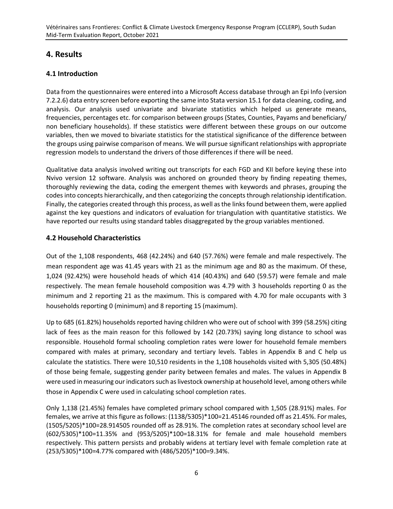## <span id="page-16-0"></span>**4. Results**

#### <span id="page-16-1"></span>**4.1 Introduction**

Data from the questionnaires were entered into a Microsoft Access database through an Epi Info (version 7.2.2.6) data entry screen before exporting the same into Stata version 15.1 for data cleaning, coding, and analysis. Our analysis used univariate and bivariate statistics which helped us generate means, frequencies, percentages etc. for comparison between groups (States, Counties, Payams and beneficiary/ non beneficiary households). If these statistics were different between these groups on our outcome variables, then we moved to bivariate statistics for the statistical significance of the difference between the groups using pairwise comparison of means. We will pursue significant relationships with appropriate regression models to understand the drivers of those differences if there will be need.

Qualitative data analysis involved writing out transcripts for each FGD and KII before keying these into Nvivo version 12 software. Analysis was anchored on grounded theory by finding repeating themes, thoroughly reviewing the data, coding the emergent themes with keywords and phrases, grouping the codes into concepts hierarchically, and then categorizing the concepts through relationship identification. Finally, the categories created through this process, as well as the links found between them, were applied against the key questions and indicators of evaluation for triangulation with quantitative statistics. We have reported our results using standard tables disaggregated by the group variables mentioned.

#### <span id="page-16-2"></span>**4.2 Household Characteristics**

Out of the 1,108 respondents, 468 (42.24%) and 640 (57.76%) were female and male respectively. The mean respondent age was 41.45 years with 21 as the minimum age and 80 as the maximum. Of these, 1,024 (92.42%) were household heads of which 414 (40.43%) and 640 (59.57) were female and male respectively. The mean female household composition was 4.79 with 3 households reporting 0 as the minimum and 2 reporting 21 as the maximum. This is compared with 4.70 for male occupants with 3 households reporting 0 (minimum) and 8 reporting 15 (maximum).

Up to 685 (61.82%) households reported having children who were out of school with 399 (58.25%) citing lack of fees as the main reason for this followed by 142 (20.73%) saying long distance to school was responsible. Household formal schooling completion rates were lower for household female members compared with males at primary, secondary and tertiary levels. Tables in Appendix B and C help us calculate the statistics. There were 10,510 residents in the 1,108 households visited with 5,305 (50.48%) of those being female, suggesting gender parity between females and males. The values in Appendix B were used in measuring our indicators such as livestock ownership at household level, among others while those in Appendix C were used in calculating school completion rates.

Only 1,138 (21.45%) females have completed primary school compared with 1,505 (28.91%) males. For females, we arrive at this figure as follows: (1138/5305)\*100=21.45146 rounded off as 21.45%. For males, (1505/5205)\*100=28.914505 rounded off as 28.91%. The completion rates at secondary school level are (602/5305)\*100=11.35% and (953/5205)\*100=18.31% for female and male household members respectively. This pattern persists and probably widens at tertiary level with female completion rate at (253/5305)\*100=4.77% compared with (486/5205)\*100=9.34%.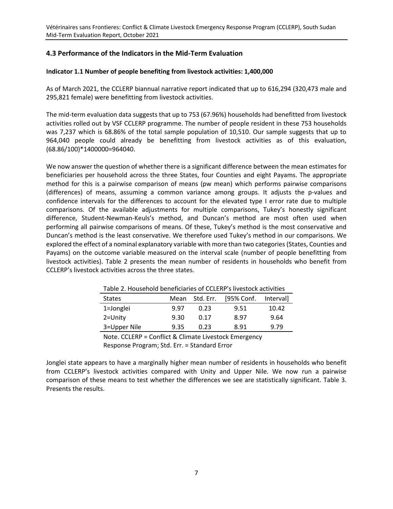#### <span id="page-17-0"></span>**4.3 Performance of the Indicators in the Mid-Term Evaluation**

#### **Indicator 1.1 Number of people benefiting from livestock activities: 1,400,000**

As of March 2021, the CCLERP biannual narrative report indicated that up to 616,294 (320,473 male and 295,821 female) were benefitting from livestock activities.

The mid-term evaluation data suggests that up to 753 (67.96%) households had benefitted from livestock activities rolled out by VSF CCLERP programme. The number of people resident in these 753 households was 7,237 which is 68.86% of the total sample population of 10,510. Our sample suggests that up to 964,040 people could already be benefitting from livestock activities as of this evaluation, (68.86/100)\*1400000=964040.

We now answer the question of whether there is a significant difference between the mean estimates for beneficiaries per household across the three States, four Counties and eight Payams. The appropriate method for this is a pairwise comparison of means (pw mean) which performs pairwise comparisons (differences) of means, assuming a common variance among groups. It adjusts the p-values and confidence intervals for the differences to account for the elevated type I error rate due to multiple comparisons. Of the available adjustments for multiple comparisons, Tukey's honestly significant difference, Student-Newman-Keuls's method, and Duncan's method are most often used when performing all pairwise comparisons of means. Of these, Tukey's method is the most conservative and Duncan's method is the least conservative. We therefore used Tukey's method in our comparisons. We explored the effect of a nominal explanatory variable with more than two categories (States, Counties and Payams) on the outcome variable measured on the interval scale (number of people benefitting from livestock activities). Table 2 presents the mean number of residents in households who benefit from CCLERP's livestock activities across the three states.

| Table 2. HOUSENOIG DENENCIALIES OF CCLENT S INVESTORM ACTIVITIES |                   |      |            |                 |  |  |  |  |
|------------------------------------------------------------------|-------------------|------|------------|-----------------|--|--|--|--|
| <b>States</b>                                                    | Std. Err.<br>Mean |      | [95% Conf. | <b>Interval</b> |  |  |  |  |
| 1=Jonglei                                                        | 9.97              | 0.23 | 9.51       | 10.42           |  |  |  |  |
| $2 =$ Unity                                                      | 9.30              | 0.17 | 8.97       | 9.64            |  |  |  |  |
| 3=Upper Nile                                                     | 9.35              | 0.23 | 8.91       | 9.79            |  |  |  |  |

<span id="page-17-1"></span>Table 2. Household beneficiaries of CCLERP's livestock activities

Note. CCLERP = Conflict & Climate Livestock Emergency

Response Program; Std. Err. = Standard Error

Jonglei state appears to have a marginally higher mean number of residents in households who benefit from CCLERP's livestock activities compared with Unity and Upper Nile. We now run a pairwise comparison of these means to test whether the differences we see are statistically significant. Table 3. Presents the results.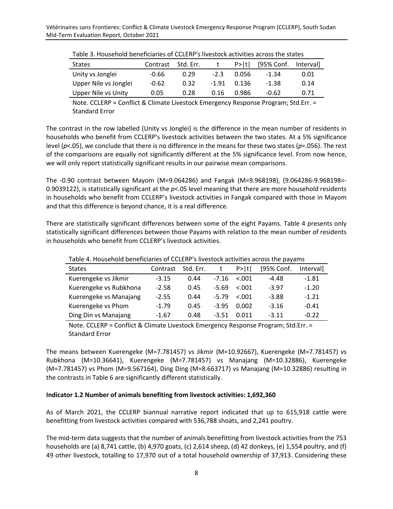| <b>States</b>         | Contrast | Std. Err. |         | $P>$  t | [95% Conf. | Interval] |
|-----------------------|----------|-----------|---------|---------|------------|-----------|
| Unity vs Jonglei      | -0.66    | 0.29      | $-2.3$  | 0.056   | $-1.34$    | 0.01      |
| Upper Nile vs Jonglei | $-0.62$  | 0.32      | $-1.91$ | 0.136   | $-1.38$    | 0.14      |
| Upper Nile vs Unity   | 0.05     | 0.28      | 0.16    | 0.986   | -0.62      | 0.71      |

<span id="page-18-0"></span>Table 3. Household beneficiaries of CCLERP's livestock activities across the states

Note. CCLERP = Conflict & Climate Livestock Emergency Response Program; Std.Err. = Standard Error

The contrast in the row labelled (Unity vs Jonglei) is the difference in the mean number of residents in households who benefit from CCLERP's livestock activities between the two states. At a 5% significance level (*p*<.05), we conclude that there is no difference in the means for these two states (*p*=.056). The rest of the comparisons are equally not significantly different at the 5% significance level. From now hence, we will only report statistically significant results in our pairwise mean comparisons.

The -0.90 contrast between Mayom (M=9.064286) and Fangak (M=9.968198), (9.064286-9.968198=- 0.9039122), is statistically significant at the *p*<.05 level meaning that there are more household residents in households who benefit from CCLERP's livestock activities in Fangak compared with those in Mayom and that this difference is beyond chance, it is a real difference.

There are statistically significant differences between some of the eight Payams. Table 4 presents only statistically significant differences between those Payams with relation to the mean number of residents in households who benefit from CCLERP's livestock activities.

| Table 1: HouseHold beHeilcharts of eccent is investory. activities across the payams |          |           |         |         |            |           |  |  |
|--------------------------------------------------------------------------------------|----------|-----------|---------|---------|------------|-----------|--|--|
| <b>States</b>                                                                        | Contrast | Std. Err. |         | $P>$  t | [95% Conf. | Interval] |  |  |
| Kuerengeke vs Jikmir                                                                 | $-3.15$  | 0.44      | $-7.16$ | < 0.001 | $-4.48$    | $-1.81$   |  |  |
| Kuerengeke vs Rubkhona                                                               | $-2.58$  | 0.45      | $-5.69$ | $-.001$ | $-3.97$    | $-1.20$   |  |  |
| Kuerengeke vs Manajang                                                               | $-2.55$  | 0.44      | $-5.79$ | $-.001$ | $-3.88$    | $-1.21$   |  |  |
| Kuerengeke vs Phom                                                                   | $-1.79$  | 0.45      | $-3.95$ | 0.002   | $-3.16$    | $-0.41$   |  |  |
| Ding Din vs Manajang                                                                 | $-1.67$  | 0.48      | $-3.51$ | 0.011   | $-3.11$    | $-0.22$   |  |  |

<span id="page-18-1"></span>Table 4. Household beneficiaries of CCLERP's livestock activities across the payams

Note. CCLERP = Conflict & Climate Livestock Emergency Response Program; Std.Err. = Standard Error

The means between Kuerengeke (M=7.781457) vs Jikmir (M=10.92667), Kuerengeke (M=7.781457) vs Rubkhona (M=10.36641), Kuerengeke (M=7.781457) vs Manajang (M=10.32886), Kuerengeke (M=7.781457) vs Phom (M=9.567164), Ding Ding (M=8.663717) vs Manajang (M=10.32886) resulting in the contrasts in Table 6 are significantly different statistically.

#### **Indicator 1.2 Number of animals benefiting from livestock activities: 1,692,360**

As of March 2021, the CCLERP biannual narrative report indicated that up to 615,918 cattle were benefitting from livestock activities compared with 536,788 shoats, and 2,241 poultry.

The mid-term data suggests that the number of animals benefitting from livestock activities from the 753 households are (a) 8,741 cattle, (b) 4,970 goats, (c) 2,614 sheep, (d) 42 donkeys, (e) 1,554 poultry, and (f) 49 other livestock, totalling to 17,970 out of a total household ownership of 37,913. Considering these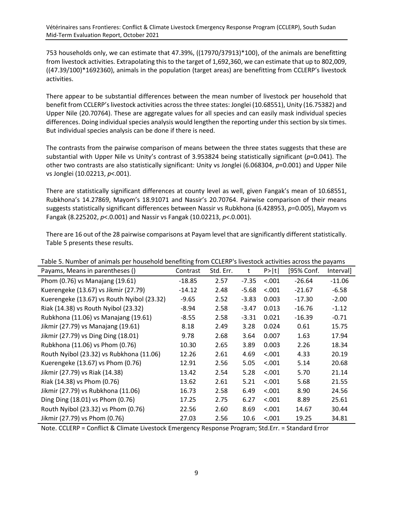753 households only, we can estimate that 47.39%, ((17970/37913)\*100), of the animals are benefitting from livestock activities. Extrapolating this to the target of 1,692,360, we can estimate that up to 802,009, ((47.39/100)\*1692360), animals in the population (target areas) are benefitting from CCLERP's livestock activities.

There appear to be substantial differences between the mean number of livestock per household that benefit from CCLERP's livestock activities across the three states: Jonglei (10.68551), Unity (16.75382) and Upper Nile (20.70764). These are aggregate values for all species and can easily mask individual species differences. Doing individual species analysis would lengthen the reporting under this section by six times. But individual species analysis can be done if there is need.

The contrasts from the pairwise comparison of means between the three states suggests that these are substantial with Upper Nile vs Unity's contrast of 3.953824 being statistically significant (*p*=0.041). The other two contrasts are also statistically significant: Unity vs Jonglei (6.068304, *p*=0.001) and Upper Nile vs Jonglei (10.02213, *p*<.001).

There are statistically significant differences at county level as well, given Fangak's mean of 10.68551, Rubkhona's 14.27869, Mayom's 18.91071 and Nassir's 20.70764. Pairwise comparison of their means suggests statistically significant differences between Nassir vs Rubkhona (6.428953, *p*=0.005), Mayom vs Fangak (8.225202, *p*<.0.001) and Nassir vs Fangak (10.02213, *p*<.0.001).

There are 16 out of the 28 pairwise comparisons at Payam level that are significantly different statistically. Table 5 presents these results.

|                                            |          |           |         |        | $\frac{1}{2}$ |           |
|--------------------------------------------|----------|-----------|---------|--------|---------------|-----------|
| Payams, Means in parentheses ()            | Contrast | Std. Err. | t       | P> t   | [95% Conf.    | Interval] |
| Phom (0.76) vs Manajang (19.61)            | $-18.85$ | 2.57      | $-7.35$ | < .001 | $-26.64$      | $-11.06$  |
| Kuerengeke (13.67) vs Jikmir (27.79)       | $-14.12$ | 2.48      | $-5.68$ | < .001 | $-21.67$      | $-6.58$   |
| Kuerengeke (13.67) vs Routh Nyibol (23.32) | $-9.65$  | 2.52      | $-3.83$ | 0.003  | $-17.30$      | $-2.00$   |
| Riak (14.38) vs Routh Nyibol (23.32)       | -8.94    | 2.58      | $-3.47$ | 0.013  | $-16.76$      | $-1.12$   |
| Rubkhona (11.06) vs Manajang (19.61)       | $-8.55$  | 2.58      | $-3.31$ | 0.021  | $-16.39$      | $-0.71$   |
| Jikmir (27.79) vs Manajang (19.61)         | 8.18     | 2.49      | 3.28    | 0.024  | 0.61          | 15.75     |
| Jikmir (27.79) vs Ding Ding (18.01)        | 9.78     | 2.68      | 3.64    | 0.007  | 1.63          | 17.94     |
| Rubkhona (11.06) vs Phom (0.76)            | 10.30    | 2.65      | 3.89    | 0.003  | 2.26          | 18.34     |
| Routh Nyibol (23.32) vs Rubkhona (11.06)   | 12.26    | 2.61      | 4.69    | < .001 | 4.33          | 20.19     |
| Kuerengeke (13.67) vs Phom (0.76)          | 12.91    | 2.56      | 5.05    | < .001 | 5.14          | 20.68     |
| Jikmir (27.79) vs Riak (14.38)             | 13.42    | 2.54      | 5.28    | < .001 | 5.70          | 21.14     |
| Riak (14.38) vs Phom (0.76)                | 13.62    | 2.61      | 5.21    | < .001 | 5.68          | 21.55     |
| Jikmir (27.79) vs Rubkhona (11.06)         | 16.73    | 2.58      | 6.49    | < .001 | 8.90          | 24.56     |
| Ding Ding (18.01) vs Phom (0.76)           | 17.25    | 2.75      | 6.27    | < .001 | 8.89          | 25.61     |
| Routh Nyibol (23.32) vs Phom (0.76)        | 22.56    | 2.60      | 8.69    | < .001 | 14.67         | 30.44     |
| Jikmir (27.79) vs Phom (0.76)              | 27.03    | 2.56      | 10.6    | < .001 | 19.25         | 34.81     |

<span id="page-19-0"></span>Table 5. Number of animals per household benefiting from CCLERP's livestock activities across the payams

Note. CCLERP = Conflict & Climate Livestock Emergency Response Program; Std.Err. = Standard Error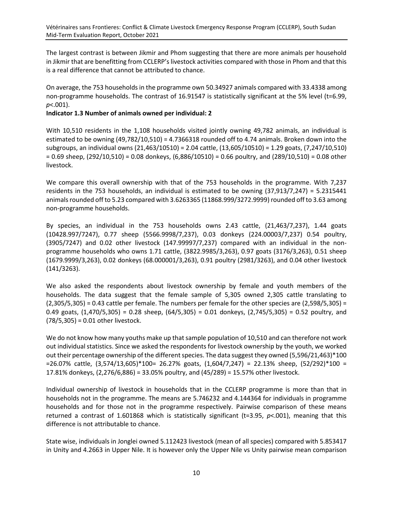The largest contrast is between Jikmir and Phom suggesting that there are more animals per household in Jikmir that are benefitting from CCLERP's livestock activities compared with those in Phom and that this is a real difference that cannot be attributed to chance.

On average, the 753 households in the programme own 50.34927 animals compared with 33.4338 among non-programme households. The contrast of 16.91547 is statistically significant at the 5% level (t=6.99, *p*<.001).

#### **Indicator 1.3 Number of animals owned per individual: 2**

With 10,510 residents in the 1,108 households visited jointly owning 49,782 animals, an individual is estimated to be owning (49,782/10,510) = 4.7366318 rounded off to 4.74 animals. Broken down into the subgroups, an individual owns (21,463/10510) = 2.04 cattle, (13,605/10510) = 1.29 goats, (7,247/10,510) = 0.69 sheep, (292/10,510) = 0.08 donkeys, (6,886/10510) = 0.66 poultry, and (289/10,510) = 0.08 other livestock.

We compare this overall ownership with that of the 753 households in the programme. With 7,237 residents in the 753 households, an individual is estimated to be owning (37,913/7,247) = 5.2315441 animals rounded off to 5.23 compared with 3.6263365 (11868.999/3272.9999) rounded off to 3.63 among non-programme households.

By species, an individual in the 753 households owns 2.43 cattle, (21,463/7,237), 1.44 goats (10428.997/7247), 0.77 sheep (5566.9998/7,237), 0.03 donkeys (224.00003/7,237) 0.54 poultry, (3905/7247) and 0.02 other livestock (147.99997/7,237) compared with an individual in the nonprogramme households who owns 1.71 cattle, (3822.9985/3,263), 0.97 goats (3176/3,263), 0.51 sheep (1679.9999/3,263), 0.02 donkeys (68.000001/3,263), 0.91 poultry (2981/3263), and 0.04 other livestock (141/3263).

We also asked the respondents about livestock ownership by female and youth members of the households. The data suggest that the female sample of 5,305 owned 2,305 cattle translating to  $(2,305/5,305)$  = 0.43 cattle per female. The numbers per female for the other species are  $(2,598/5,305)$  = 0.49 goats,  $(1,470/5,305) = 0.28$  sheep,  $(64/5,305) = 0.01$  donkeys,  $(2,745/5,305) = 0.52$  poultry, and (78/5,305) = 0.01 other livestock.

We do not know how many youths make up that sample population of 10,510 and can therefore not work out individual statistics. Since we asked the respondents for livestock ownership by the youth, we worked out their percentage ownership of the different species. The data suggest they owned (5,596/21,463)\*100 =26.07% cattle, (3,574/13,605)\*100= 26.27% goats, (1,604/7,247) = 22.13% sheep, (52/292)\*100 = 17.81% donkeys, (2,276/6,886) = 33.05% poultry, and (45/289) = 15.57% other livestock.

Individual ownership of livestock in households that in the CCLERP programme is more than that in households not in the programme. The means are 5.746232 and 4.144364 for individuals in programme households and for those not in the programme respectively. Pairwise comparison of these means returned a contrast of 1.601868 which is statistically significant (t=3.95, *p*<.001), meaning that this difference is not attributable to chance.

State wise, individuals in Jonglei owned 5.112423 livestock (mean of all species) compared with 5.853417 in Unity and 4.2663 in Upper Nile. It is however only the Upper Nile vs Unity pairwise mean comparison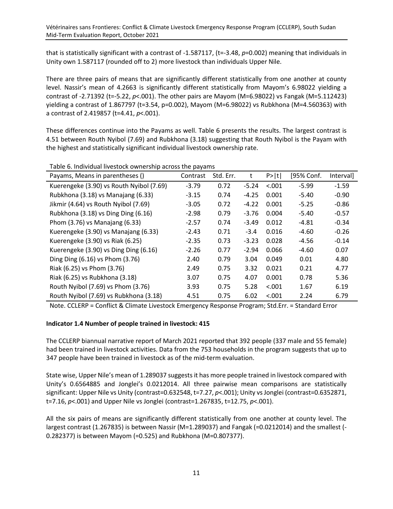that is statistically significant with a contrast of -1.587117, (t=-3.48, *p*=0.002) meaning that individuals in Unity own 1.587117 (rounded off to 2) more livestock than individuals Upper Nile.

There are three pairs of means that are significantly different statistically from one another at county level. Nassir's mean of 4.2663 is significantly different statistically from Mayom's 6.98022 yielding a contrast of -2.71392 (t=-5.22, *p*<.001). The other pairs are Mayom (M=6.98022) vs Fangak (M=5.112423) yielding a contrast of 1.867797 (t=3.54, p=0.002), Mayom (M=6.98022) vs Rubkhona (M=4.560363) with a contrast of 2.419857 (t=4.41, *p*<.001).

These differences continue into the Payams as well. Table 6 presents the results. The largest contrast is 4.51 between Routh Nyibol (7.69) and Rubkhona (3.18) suggesting that Routh Nyibol is the Payam with the highest and statistically significant individual livestock ownership rate.

| Payams, Means in parentheses ()          | Contrast | Std. Err. | t       | P >  t | [95% Conf. | Interval] |
|------------------------------------------|----------|-----------|---------|--------|------------|-----------|
| Kuerengeke (3.90) vs Routh Nyibol (7.69) | $-3.79$  | 0.72      | $-5.24$ | < .001 | $-5.99$    | $-1.59$   |
| Rubkhona (3.18) vs Manajang (6.33)       | $-3.15$  | 0.74      | $-4.25$ | 0.001  | $-5.40$    | $-0.90$   |
| Jikmir (4.64) vs Routh Nyibol (7.69)     | $-3.05$  | 0.72      | $-4.22$ | 0.001  | $-5.25$    | $-0.86$   |
| Rubkhona (3.18) vs Ding Ding (6.16)      | $-2.98$  | 0.79      | $-3.76$ | 0.004  | $-5.40$    | $-0.57$   |
| Phom (3.76) vs Manajang (6.33)           | $-2.57$  | 0.74      | $-3.49$ | 0.012  | $-4.81$    | $-0.34$   |
| Kuerengeke (3.90) vs Manajang (6.33)     | $-2.43$  | 0.71      | $-3.4$  | 0.016  | $-4.60$    | $-0.26$   |
| Kuerengeke (3.90) vs Riak (6.25)         | $-2.35$  | 0.73      | $-3.23$ | 0.028  | -4.56      | $-0.14$   |
| Kuerengeke (3.90) vs Ding Ding (6.16)    | $-2.26$  | 0.77      | $-2.94$ | 0.066  | $-4.60$    | 0.07      |
| Ding Ding (6.16) vs Phom (3.76)          | 2.40     | 0.79      | 3.04    | 0.049  | 0.01       | 4.80      |
| Riak (6.25) vs Phom (3.76)               | 2.49     | 0.75      | 3.32    | 0.021  | 0.21       | 4.77      |
| Riak (6.25) vs Rubkhona (3.18)           | 3.07     | 0.75      | 4.07    | 0.001  | 0.78       | 5.36      |
| Routh Nyibol (7.69) vs Phom (3.76)       | 3.93     | 0.75      | 5.28    | < .001 | 1.67       | 6.19      |
| Routh Nyibol (7.69) vs Rubkhona (3.18)   | 4.51     | 0.75      | 6.02    | < .001 | 2.24       | 6.79      |

<span id="page-21-0"></span>Table 6. Individual livestock ownership across the payams

Note. CCLERP = Conflict & Climate Livestock Emergency Response Program; Std.Err. = Standard Error

#### **Indicator 1.4 Number of people trained in livestock: 415**

The CCLERP biannual narrative report of March 2021 reported that 392 people (337 male and 55 female) had been trained in livestock activities. Data from the 753 households in the program suggests that up to 347 people have been trained in livestock as of the mid-term evaluation.

State wise, Upper Nile's mean of 1.289037 suggests it has more people trained in livestock compared with Unity's 0.6564885 and Jonglei's 0.0212014. All three pairwise mean comparisons are statistically significant: Upper Nile vs Unity (contrast=0.632548, t=7.27,  $p$ <.001); Unity vs Jonglei (contrast=0.6352871, t=7.16, *p*<.001) and Upper Nile vs Jonglei (contrast=1.267835, t=12.75, *p*<.001).

All the six pairs of means are significantly different statistically from one another at county level. The largest contrast (1.267835) is between Nassir (M=1.289037) and Fangak (=0.0212014) and the smallest (- 0.282377) is between Mayom (=0.525) and Rubkhona (M=0.807377).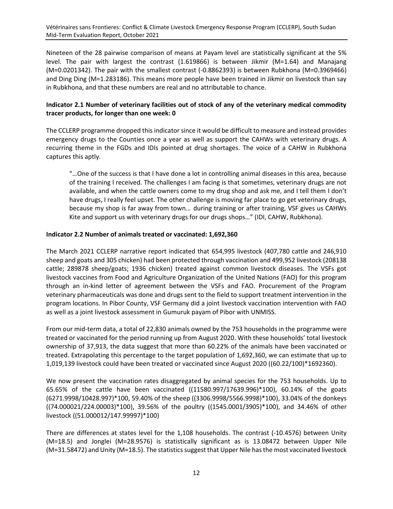Nineteen of the 28 pairwise comparison of means at Payam level are statistically significant at the 5% level. The pair with largest the contrast (1.619866) is between Jikmir (M=1.64) and Manajang (M=0.0201342). The pair with the smallest contrast (-0.8862393) is between Rubkhona (M=0.3969466) and Ding Ding (M=1.283186). This means more people have been trained in Jikmir on livestock than say in Rubkhona, and that these numbers are real and no attributable to chance.

#### **Indicator 2.1 Number of veterinary facilities out of stock of any of the veterinary medical commodity tracer products, for longer than one week: 0**

The CCLERP programme dropped this indicator since it would be difficult to measure and instead provides emergency drugs to the Counties once a year as well as support the CAHWs with veterinary drugs. A recurring theme in the FGDs and IDIs pointed at drug shortages. The voice of a CAHW in Rubkhona captures this aptly.

"…One of the success is that I have done a lot in controlling animal diseases in this area, because of the training l received. The challenges I am facing is that sometimes, veterinary drugs are not available, and when the cattle owners come to my drug shop and ask me, and I tell them I don't have drugs, I really feel upset. The other challenge is moving far place to go get veterinary drugs, because my shop is far away from town… during training or after training, VSF gives us CAHWs Kite and support us with veterinary drugs for our drugs shops…" (IDI, CAHW, Rubkhona).

#### **Indicator 2.2 Number of animals treated or vaccinated: 1,692,360**

The March 2021 CCLERP narrative report indicated that 654,995 livestock (407,780 cattle and 246,910 sheep and goats and 305 chicken) had been protected through vaccination and 499,952 livestock (208138 cattle; 289878 sheep/goats; 1936 chicken) treated against common livestock diseases. The VSFs got livestock vaccines from Food and Agriculture Organization of the United Nations (FAO) for this program through an in-kind letter of agreement between the VSFs and FAO. Procurement of the Program veterinary pharmaceuticals was done and drugs sent to the field to support treatment intervention in the program locations. In Pibor County, VSF Germany did a joint livestock vaccination intervention with FAO as well as a joint livestock assessment in Gumuruk payam of Pibor with UNMISS.

From our mid-term data, a total of 22,830 animals owned by the 753 households in the programme were treated or vaccinated for the period running up from August 2020. With these households' total livestock ownership of 37,913, the data suggest that more than 60.22% of the animals have been vaccinated or treated. Extrapolating this percentage to the target population of 1,692,360, we can estimate that up to 1,019,139 livestock could have been treated or vaccinated since August 2020 ((60.22/100)\*1692360).

We now present the vaccination rates disaggregated by animal species for the 753 households. Up to 65.65% of the cattle have been vaccinated ((11580.997/17639.996)\*100), 60.14% of the goats (6271.9998/10428.997)\*100, 59.40% of the sheep ((3306.9998/5566.9998)\*100), 33.04% of the donkeys ((74.000021/224.00003)\*100), 39.56% of the poultry ((1545.0001/3905)\*100), and 34.46% of other livestock ((51.000012/147.99997)\*100)

There are differences at states level for the 1,108 households. The contrast (-10.4576) between Unity (M=18.5) and Jonglei (M=28.9576) is statistically significant as is 13.08472 between Upper Nile (M=31.58472) and Unity (M=18.5). The statistics suggest that Upper Nile has the most vaccinated livestock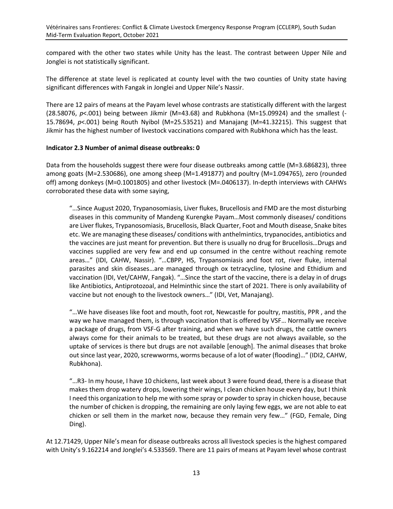compared with the other two states while Unity has the least. The contrast between Upper Nile and Jonglei is not statistically significant.

The difference at state level is replicated at county level with the two counties of Unity state having significant differences with Fangak in Jonglei and Upper Nile's Nassir.

There are 12 pairs of means at the Payam level whose contrasts are statistically different with the largest (28.58076, *p*<.001) being between Jikmir (M=43.68) and Rubkhona (M=15.09924) and the smallest (- 15.78694, *p*<.001) being Routh Nyibol (M=25.53521) and Manajang (M=41.32215). This suggest that Jikmir has the highest number of livestock vaccinations compared with Rubkhona which has the least.

#### **Indicator 2.3 Number of animal disease outbreaks: 0**

Data from the households suggest there were four disease outbreaks among cattle (M=3.686823), three among goats (M=2.530686), one among sheep (M=1.491877) and poultry (M=1.094765), zero (rounded off) among donkeys (M=0.1001805) and other livestock (M=.0406137). In-depth interviews with CAHWs corroborated these data with some saying,

"…Since August 2020, Trypanosomiasis, Liver flukes, Brucellosis and FMD are the most disturbing diseases in this community of Mandeng Kurengke Payam…Most commonly diseases/ conditions are Liver flukes, Trypanosomiasis, Brucellosis, Black Quarter, Foot and Mouth disease, Snake bites etc. We are managing these diseases/ conditions with anthelmintics, trypanocides, antibiotics and the vaccines are just meant for prevention. But there is usually no drug for Brucellosis…Drugs and vaccines supplied are very few and end up consumed in the centre without reaching remote areas…" (IDI, CAHW, Nassir). "…CBPP, HS, Trypansomiasis and foot rot, river fluke, internal parasites and skin diseases…are managed through ox tetracycline, tylosine and Ethidium and vaccination (IDI, Vet/CAHW, Fangak). "…Since the start of the vaccine, there is a delay in of drugs like Antibiotics, Antiprotozoal, and Helminthic since the start of 2021. There is only availability of vaccine but not enough to the livestock owners…" (IDI, Vet, Manajang).

"…We have diseases like foot and mouth, foot rot, Newcastle for poultry, mastitis, PPR , and the way we have managed them, is through vaccination that is offered by VSF… Normally we receive a package of drugs, from VSF-G after training, and when we have such drugs, the cattle owners always come for their animals to be treated, but these drugs are not always available, so the uptake of services is there but drugs are not available [enough]. The animal diseases that broke out since last year, 2020, screwworms, worms because of a lot of water (flooding)…" (IDI2, CAHW, Rubkhona).

"…R3- In my house, I have 10 chickens, last week about 3 were found dead, there is a disease that makes them drop watery drops, lowering their wings, I clean chicken house every day, but I think I need this organization to help me with some spray or powder to spray in chicken house, because the number of chicken is dropping, the remaining are only laying few eggs, we are not able to eat chicken or sell them in the market now, because they remain very few…" (FGD, Female, Ding Ding).

At 12.71429, Upper Nile's mean for disease outbreaks across all livestock species is the highest compared with Unity's 9.162214 and Jonglei's 4.533569. There are 11 pairs of means at Payam level whose contrast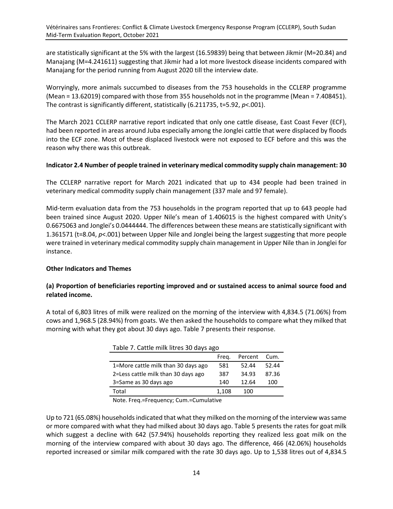are statistically significant at the 5% with the largest (16.59839) being that between Jikmir (M=20.84) and Manajang (M=4.241611) suggesting that Jikmir had a lot more livestock disease incidents compared with Manajang for the period running from August 2020 till the interview date.

Worryingly, more animals succumbed to diseases from the 753 households in the CCLERP programme (Mean = 13.62019) compared with those from 355 households not in the programme (Mean = 7.408451). The contrast is significantly different, statistically (6.211735, t=5.92, *p*<.001).

The March 2021 CCLERP narrative report indicated that only one cattle disease, East Coast Fever (ECF), had been reported in areas around Juba especially among the Jonglei cattle that were displaced by floods into the ECF zone. Most of these displaced livestock were not exposed to ECF before and this was the reason why there was this outbreak.

#### **Indicator 2.4 Number of people trained in veterinary medical commodity supply chain management: 30**

The CCLERP narrative report for March 2021 indicated that up to 434 people had been trained in veterinary medical commodity supply chain management (337 male and 97 female).

Mid-term evaluation data from the 753 households in the program reported that up to 643 people had been trained since August 2020. Upper Nile's mean of 1.406015 is the highest compared with Unity's 0.6675063 and Jonglei's 0.0444444. The differences between these means are statistically significant with 1.361571 (t=8.04, *p*<.001) between Upper Nile and Jonglei being the largest suggesting that more people were trained in veterinary medical commodity supply chain management in Upper Nile than in Jonglei for instance.

#### **Other Indicators and Themes**

#### **(a) Proportion of beneficiaries reporting improved and or sustained access to animal source food and related income.**

A total of 6,803 litres of milk were realized on the morning of the interview with 4,834.5 (71.06%) from cows and 1,968.5 (28.94%) from goats. We then asked the households to compare what they milked that morning with what they got about 30 days ago. Table 7 presents their response.

| Table 7. Cattle milk litres 30 days ago |       |         |       |  |  |  |  |  |
|-----------------------------------------|-------|---------|-------|--|--|--|--|--|
|                                         | Frea. | Percent | Cum.  |  |  |  |  |  |
| 1=More cattle milk than 30 days ago     | 581   | 52.44   | 52.44 |  |  |  |  |  |
| 2=Less cattle milk than 30 days ago     | 387   | 34.93   | 87.36 |  |  |  |  |  |
| 3=Same as 30 days ago                   | 140   | 12.64   | 100   |  |  |  |  |  |
| Total                                   | 1,108 | 100     |       |  |  |  |  |  |

Note. Freq.=Frequency; Cum.=Cumulative

<span id="page-24-0"></span> $T$  and  $T$  cattle milk little manner  $\overline{a}$ 

Up to 721 (65.08%) households indicated that what they milked on the morning of the interview was same or more compared with what they had milked about 30 days ago. Table 5 presents the rates for goat milk which suggest a decline with 642 (57.94%) households reporting they realized less goat milk on the morning of the interview compared with about 30 days ago. The difference, 466 (42.06%) households reported increased or similar milk compared with the rate 30 days ago. Up to 1,538 litres out of 4,834.5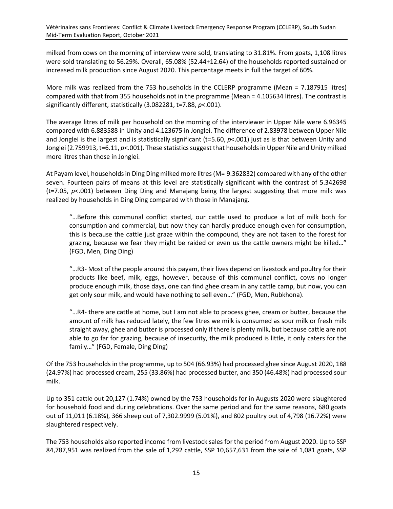milked from cows on the morning of interview were sold, translating to 31.81%. From goats, 1,108 litres were sold translating to 56.29%. Overall, 65.08% (52.44+12.64) of the households reported sustained or increased milk production since August 2020. This percentage meets in full the target of 60%.

More milk was realized from the 753 households in the CCLERP programme (Mean = 7.187915 litres) compared with that from 355 households not in the programme (Mean = 4.105634 litres). The contrast is significantly different, statistically (3.082281, t=7.88, *p*<.001).

The average litres of milk per household on the morning of the interviewer in Upper Nile were 6.96345 compared with 6.883588 in Unity and 4.123675 in Jonglei. The difference of 2.83978 between Upper Nile and Jonglei is the largest and is statistically significant (t=5.60,  $p<$ .001) just as is that between Unity and Jonglei (2.759913, t=6.11, *p*<.001). These statistics suggest that households in Upper Nile and Unity milked more litres than those in Jonglei.

At Payam level, households in Ding Ding milked more litres (M= 9.362832) compared with any of the other seven. Fourteen pairs of means at this level are statistically significant with the contrast of 5.342698 (t=7.05, *p*<.001) between Ding Ding and Manajang being the largest suggesting that more milk was realized by households in Ding Ding compared with those in Manajang.

"…Before this communal conflict started, our cattle used to produce a lot of milk both for consumption and commercial, but now they can hardly produce enough even for consumption, this is because the cattle just graze within the compound, they are not taken to the forest for grazing, because we fear they might be raided or even us the cattle owners might be killed…" (FGD, Men, Ding Ding)

"…R3- Most of the people around this payam, their lives depend on livestock and poultry for their products like beef, milk, eggs, however, because of this communal conflict, cows no longer produce enough milk, those days, one can find ghee cream in any cattle camp, but now, you can get only sour milk, and would have nothing to sell even…" (FGD, Men, Rubkhona).

"…R4- there are cattle at home, but I am not able to process ghee, cream or butter, because the amount of milk has reduced lately, the few litres we milk is consumed as sour milk or fresh milk straight away, ghee and butter is processed only if there is plenty milk, but because cattle are not able to go far for grazing, because of insecurity, the milk produced is little, it only caters for the family…" (FGD, Female, Ding Ding)

Of the 753 households in the programme, up to 504 (66.93%) had processed ghee since August 2020, 188 (24.97%) had processed cream, 255 (33.86%) had processed butter, and 350 (46.48%) had processed sour milk.

Up to 351 cattle out 20,127 (1.74%) owned by the 753 households for in Augusts 2020 were slaughtered for household food and during celebrations. Over the same period and for the same reasons, 680 goats out of 11,011 (6.18%), 366 sheep out of 7,302.9999 (5.01%), and 802 poultry out of 4,798 (16.72%) were slaughtered respectively.

The 753 households also reported income from livestock sales for the period from August 2020. Up to SSP 84,787,951 was realized from the sale of 1,292 cattle, SSP 10,657,631 from the sale of 1,081 goats, SSP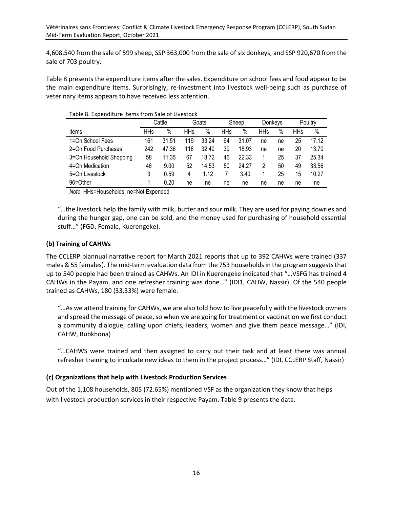4,608,540 from the sale of 599 sheep, SSP 363,000 from the sale of six donkeys, and SSP 920,670 from the sale of 703 poultry.

Table 8 presents the expenditure items after the sales. Expenditure on school fees and food appear to be the main expenditure items. Surprisingly, re-investment into livestock well-being such as purchase of veterinary items appears to have received less attention.

|                         | Cattle     |       |            | Goats |            | Sheep |            | Donkeys |            | Poultry |  |
|-------------------------|------------|-------|------------|-------|------------|-------|------------|---------|------------|---------|--|
| Items                   | <b>HHs</b> | %     | <b>HHs</b> | $\%$  | <b>HHs</b> | $\%$  | <b>HHs</b> | $\%$    | <b>HHs</b> | $\%$    |  |
| 1=On School Fees        | 161        | 31.51 | 119        | 33.24 | 64         | 31.07 | ne         | ne      | 25         | 17.12   |  |
| 2=On Food Purchases     | 242        | 47.36 | 116        | 32.40 | 39         | 18.93 | ne         | ne      | 20         | 13.70   |  |
| 3=On Household Shopping | 58         | 11.35 | 67         | 18.72 | 46         | 22.33 |            | 25      | 37         | 25.34   |  |
| 4=On Medication         | 46         | 9.00  | 52         | 14.53 | 50         | 24.27 | 2          | 50      | 49         | 33.56   |  |
| 5=On Livestock          | 3          | 0.59  | 4          | 1.12  |            | 3.40  |            | 25      | 15         | 10.27   |  |
| 96=Other                |            | 0.20  | ne         | ne    | ne         | ne    | ne         | ne      | ne         | ne      |  |

<span id="page-26-0"></span>Table 8. Expenditure Items from Sale of Livestock

Note. HHs=Households; ne=Not Expended

the livestock help the family with milk, butter and sour milk. They are used for paying dowries and... during the hunger gap, one can be sold, and the money used for purchasing of household essential stuff..." (FGD, Female, Kuerengeke).

#### (b) Training of CAHWs

The CCLERP biannual narrative report for March 2021 reports that up to 392 CAHWs were trained (337 males & 55 females). The mid-term evaluation data from the 753 households in the program suggests that up to 540 people had been trained as CAHWs. An IDI in Kuerengeke indicated that "... VSFG has trained 4 CAHWs in the Payam, and one refresher training was done..." (IDI1, CAHW, Nassir). Of the 540 people trained as CAHWs, 180 (33.33%) were female.

"...As we attend training for CAHWs, we are also told how to live peacefully with the livestock owners and spread the message of peace, so when we are going for treatment or vaccination we first conduct a community dialogue, calling upon chiefs, leaders, women and give them peace message..." (IDI, CAHW, Rubkhona)

"...CAHWS were trained and then assigned to carry out their task and at least there was annual refresher training to inculcate new ideas to them in the project process..." (IDI, CCLERP Staff, Nassir)

#### (c) Organizations that help with Livestock Production Services

Out of the 1,108 households, 805 (72.65%) mentioned VSF as the organization they know that helps with livestock production services in their respective Payam. Table 9 presents the data.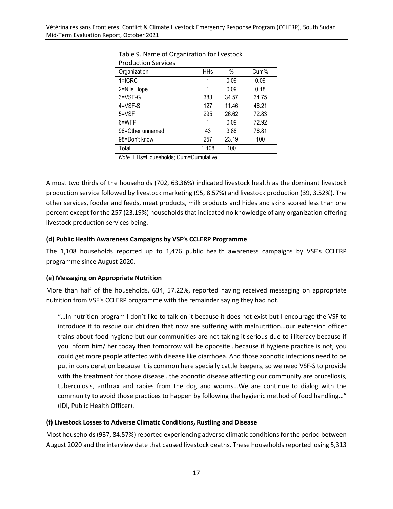| Production Services |            |       |       |
|---------------------|------------|-------|-------|
| Organization        | <b>HHs</b> | $\%$  | Cum%  |
| $1 = ICRC$          | 1          | 0.09  | 0.09  |
| 2=Nile Hope         | 1          | 0.09  | 0.18  |
| 3=VSF-G             | 383        | 34.57 | 34.75 |
| $4 = VSF-S$         | 127        | 11.46 | 46.21 |
| 5=VSF               | 295        | 26.62 | 72.83 |
| 6=WFP               | 1          | 0.09  | 72.92 |
| 96=Other unnamed    | 43         | 3.88  | 76.81 |
| 98=Don't know       | 257        | 23.19 | 100   |
| Total               | 1,108      | 100   |       |

<span id="page-27-0"></span>Table 9. Name of Organization for livestock Droduction Co

Note. HHs=Households; Cum=Cumulative

Almost two thirds of the households (702, 63.36%) indicated livestock health as the dominant livestock production service followed by livestock marketing (95, 8.57%) and livestock production (39, 3.52%). The other services, fodder and feeds, meat products, milk products and hides and skins scored less than one percent except for the 257 (23.19%) households that indicated no knowledge of any organization offering livestock production services being.

#### (d) Public Health Awareness Campaigns by VSF's CCLERP Programme

The 1,108 households reported up to 1,476 public health awareness campaigns by VSF's CCLERP programme since August 2020.

#### (e) Messaging on Appropriate Nutrition

More than half of the households, 634, 57.22%, reported having received messaging on appropriate nutrition from VSF's CCLERP programme with the remainder saying they had not.

"...In nutrition program I don't like to talk on it because it does not exist but I encourage the VSF to introduce it to rescue our children that now are suffering with malnutrition...our extension officer trains about food hygiene but our communities are not taking it serious due to illiteracy because if you inform him/ her today then tomorrow will be opposite...because if hygiene practice is not, you could get more people affected with disease like diarrhoea. And those zoonotic infections need to be put in consideration because it is common here specially cattle keepers, so we need VSF-S to provide with the treatment for those disease...the zoonotic disease affecting our community are brucellosis, tuberculosis, anthrax and rabies from the dog and worms...We are continue to dialog with the community to avoid those practices to happen by following the hygienic method of food handling..." (IDI, Public Health Officer).

#### (f) Livestock Losses to Adverse Climatic Conditions, Rustling and Disease

Most households (937, 84.57%) reported experiencing adverse climatic conditions for the period between August 2020 and the interview date that caused livestock deaths. These households reported losing 5,313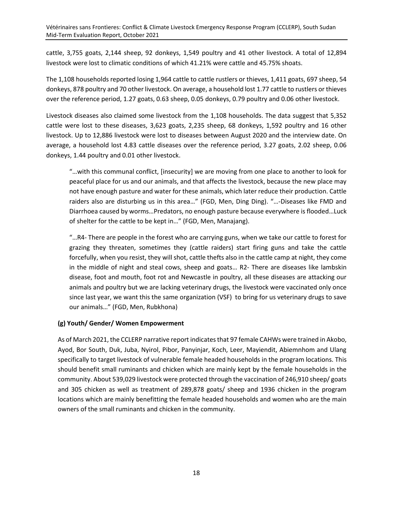cattle, 3,755 goats, 2,144 sheep, 92 donkeys, 1,549 poultry and 41 other livestock. A total of 12,894 livestock were lost to climatic conditions of which 41.21% were cattle and 45.75% shoats.

The 1,108 households reported losing 1,964 cattle to cattle rustlers or thieves, 1,411 goats, 697 sheep, 54 donkeys, 878 poultry and 70 other livestock. On average, a household lost 1.77 cattle to rustlers or thieves over the reference period, 1.27 goats, 0.63 sheep, 0.05 donkeys, 0.79 poultry and 0.06 other livestock.

Livestock diseases also claimed some livestock from the 1,108 households. The data suggest that 5,352 cattle were lost to these diseases, 3,623 goats, 2,235 sheep, 68 donkeys, 1,592 poultry and 16 other livestock. Up to 12,886 livestock were lost to diseases between August 2020 and the interview date. On average, a household lost 4.83 cattle diseases over the reference period, 3.27 goats, 2.02 sheep, 0.06 donkeys, 1.44 poultry and 0.01 other livestock.

"…with this communal conflict, [insecurity] we are moving from one place to another to look for peaceful place for us and our animals, and that affects the livestock, because the new place may not have enough pasture and water for these animals, which later reduce their production. Cattle raiders also are disturbing us in this area…" (FGD, Men, Ding Ding). "…-Diseases like FMD and Diarrhoea caused by worms…Predators, no enough pasture because everywhere is flooded…Luck of shelter for the cattle to be kept in…" (FGD, Men, Manajang).

"…R4- There are people in the forest who are carrying guns, when we take our cattle to forest for grazing they threaten, sometimes they (cattle raiders) start firing guns and take the cattle forcefully, when you resist, they will shot, cattle thefts also in the cattle camp at night, they come in the middle of night and steal cows, sheep and goats… R2- There are diseases like lambskin disease, foot and mouth, foot rot and Newcastle in poultry, all these diseases are attacking our animals and poultry but we are lacking veterinary drugs, the livestock were vaccinated only once since last year, we want this the same organization (VSF) to bring for us veterinary drugs to save our animals…" (FGD, Men, Rubkhona)

#### **(g) Youth/ Gender/ Women Empowerment**

As of March 2021, the CCLERP narrative report indicates that 97 female CAHWs were trained in Akobo, Ayod, Bor South, Duk, Juba, Nyirol, Pibor, Panyinjar, Koch, Leer, Mayiendit, Abiemnhom and Ulang specifically to target livestock of vulnerable female headed households in the program locations. This should benefit small ruminants and chicken which are mainly kept by the female households in the community. About 539,029 livestock were protected through the vaccination of 246,910 sheep/ goats and 305 chicken as well as treatment of 289,878 goats/ sheep and 1936 chicken in the program locations which are mainly benefitting the female headed households and women who are the main owners of the small ruminants and chicken in the community.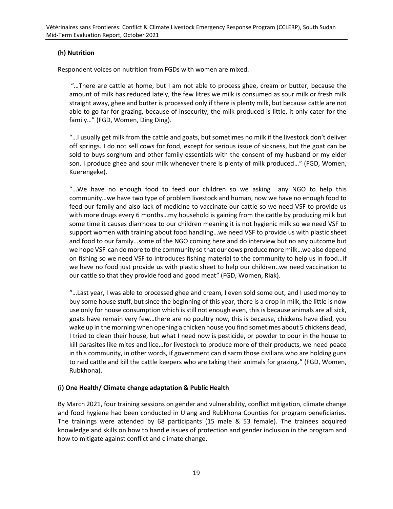#### (h) Nutrition

Respondent voices on nutrition from FGDs with women are mixed.

"...There are cattle at home, but I am not able to process ghee, cream or butter, because the amount of milk has reduced lately, the few litres we milk is consumed as sour milk or fresh milk straight away, ghee and butter is processed only if there is plenty milk, but because cattle are not able to go far for grazing, because of insecurity, the milk produced is little, it only cater for the family..." (FGD, Women, Ding Ding).

"...I usually get milk from the cattle and goats, but sometimes no milk if the livestock don't deliver off springs. I do not sell cows for food, except for serious issue of sickness, but the goat can be sold to buys sorghum and other family essentials with the consent of my husband or my elder son. I produce ghee and sour milk whenever there is plenty of milk produced..." (FGD, Women, Kuerengeke).

"...We have no enough food to feed our children so we asking any NGO to help this community...we have two type of problem livestock and human, now we have no enough food to feed our family and also lack of medicine to vaccinate our cattle so we need VSF to provide us with more drugs every 6 months...my household is gaining from the cattle by producing milk but some time it causes diarrhoea to our children meaning it is not hygienic milk so we need VSF to support women with training about food handling...we need VSF to provide us with plastic sheet and food to our family...some of the NGO coming here and do interview but no any outcome but we hope VSF can do more to the community so that our cows produce more milk...we also depend on fishing so we need VSF to introduces fishing material to the community to help us in food...if we have no food just provide us with plastic sheet to help our children. we need vaccination to our cattle so that they provide food and good meat" (FGD, Women, Riak).

"...Last year, I was able to processed ghee and cream, I even sold some out, and I used money to buy some house stuff, but since the beginning of this year, there is a drop in milk, the little is now use only for house consumption which is still not enough even, this is because animals are all sick, goats have remain very few...there are no poultry now, this is because, chickens have died, you wake up in the morning when opening a chicken house you find sometimes about 5 chickens dead, I tried to clean their house, but what I need now is pesticide, or powder to pour in the house to kill parasites like mites and lice...for livestock to produce more of their products, we need peace in this community, in other words, if government can disarm those civilians who are holding guns to raid cattle and kill the cattle keepers who are taking their animals for grazing." (FGD, Women, Rubkhona).

#### (i) One Health/ Climate change adaptation & Public Health

By March 2021, four training sessions on gender and vulnerability, conflict mitigation, climate change and food hygiene had been conducted in Ulang and Rubkhona Counties for program beneficiaries. The trainings were attended by 68 participants (15 male & 53 female). The trainees acquired knowledge and skills on how to handle issues of protection and gender inclusion in the program and how to mitigate against conflict and climate change.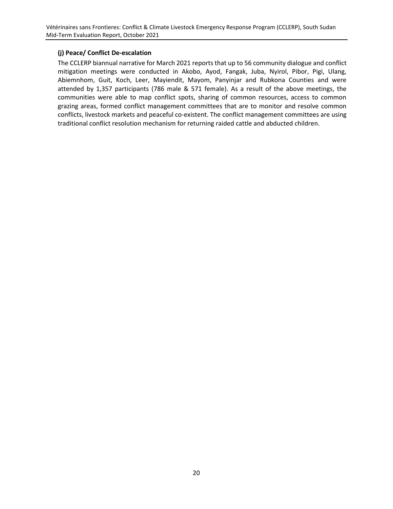#### **(j) Peace/ Conflict De-escalation**

The CCLERP biannual narrative for March 2021 reports that up to 56 community dialogue and conflict mitigation meetings were conducted in Akobo, Ayod, Fangak, Juba, Nyirol, Pibor, Pigi, Ulang, Abiemnhom, Guit, Koch, Leer, Mayiendit, Mayom, Panyinjar and Rubkona Counties and were attended by 1,357 participants (786 male & 571 female). As a result of the above meetings, the communities were able to map conflict spots, sharing of common resources, access to common grazing areas, formed conflict management committees that are to monitor and resolve common conflicts, livestock markets and peaceful co-existent. The conflict management committees are using traditional conflict resolution mechanism for returning raided cattle and abducted children.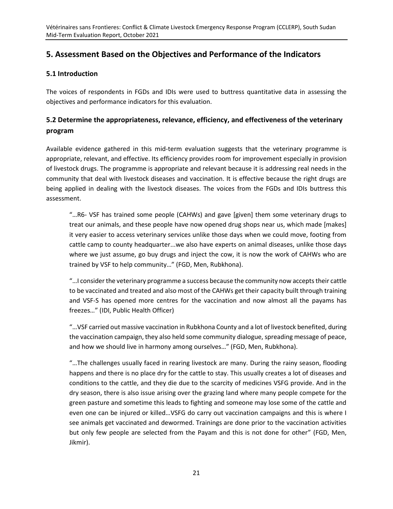## <span id="page-31-0"></span>**5. Assessment Based on the Objectives and Performance of the Indicators**

#### <span id="page-31-1"></span>**5.1 Introduction**

The voices of respondents in FGDs and IDIs were used to buttress quantitative data in assessing the objectives and performance indicators for this evaluation.

### <span id="page-31-2"></span>**5.2 Determine the appropriateness, relevance, efficiency, and effectiveness of the veterinary program**

Available evidence gathered in this mid-term evaluation suggests that the veterinary programme is appropriate, relevant, and effective. Its efficiency provides room for improvement especially in provision of livestock drugs. The programme is appropriate and relevant because it is addressing real needs in the community that deal with livestock diseases and vaccination. It is effective because the right drugs are being applied in dealing with the livestock diseases. The voices from the FGDs and IDIs buttress this assessment.

"…R6- VSF has trained some people (CAHWs) and gave [given] them some veterinary drugs to treat our animals, and these people have now opened drug shops near us, which made [makes] it very easier to access veterinary services unlike those days when we could move, footing from cattle camp to county headquarter...we also have experts on animal diseases, unlike those days where we just assume, go buy drugs and inject the cow, it is now the work of CAHWs who are trained by VSF to help community…" (FGD, Men, Rubkhona).

"...I consider the veterinary programme a success because the community now accepts their cattle to be vaccinated and treated and also most of the CAHWs get their capacity built through training and VSF-S has opened more centres for the vaccination and now almost all the payams has freezes…" (IDI, Public Health Officer)

"…VSF carried out massive vaccination in Rubkhona County and a lot of livestock benefited, during the vaccination campaign, they also held some community dialogue, spreading message of peace, and how we should live in harmony among ourselves…" (FGD, Men, Rubkhona).

"…The challenges usually faced in rearing livestock are many. During the rainy season, flooding happens and there is no place dry for the cattle to stay. This usually creates a lot of diseases and conditions to the cattle, and they die due to the scarcity of medicines VSFG provide. And in the dry season, there is also issue arising over the grazing land where many people compete for the green pasture and sometime this leads to fighting and someone may lose some of the cattle and even one can be injured or killed…VSFG do carry out vaccination campaigns and this is where I see animals get vaccinated and dewormed. Trainings are done prior to the vaccination activities but only few people are selected from the Payam and this is not done for other" (FGD, Men, Jikmir).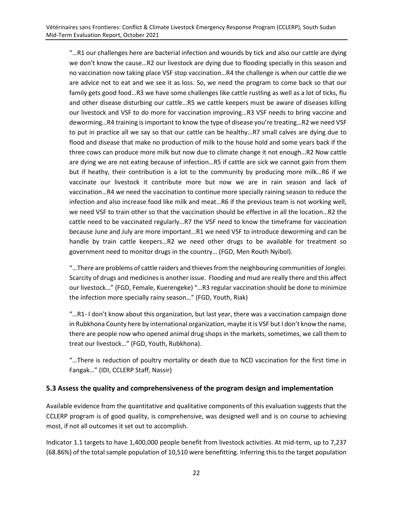"...R1 our challenges here are bacterial infection and wounds by tick and also our cattle are dying we don't know the cause...R2 our livestock are dying due to flooding specially in this season and no vaccination now taking place VSF stop vaccination...R4 the challenge is when our cattle die we are advice not to eat and we see it as loss. So, we need the program to come back so that our family gets good food...R3 we have some challenges like cattle rustling as well as a lot of ticks, flu and other disease disturbing our cattle...R5 we cattle keepers must be aware of diseases killing our livestock and VSF to do more for vaccination improving...R3 VSF needs to bring vaccine and deworming...R4 training is important to know the type of disease you're treating...R2 we need VSF to put in practice all we say so that our cattle can be healthy...R7 small calves are dying due to flood and disease that make no production of milk to the house hold and some years back if the three cows can produce more milk but now due to climate change it not enough...R2 Now cattle are dying we are not eating because of infection...R5 if cattle are sick we cannot gain from them but if heathy, their contribution is a lot to the community by producing more milk...R6 if we vaccinate our livestock it contribute more but now we are in rain season and lack of vaccination...R4 we need the vaccination to continue more specially raining season to reduce the infection and also increase food like milk and meat...R6 if the previous team is not working well, we need VSF to train other so that the vaccination should be effective in all the location...R2 the cattle need to be vaccinated regularly...R7 the VSF need to know the timeframe for vaccination because June and July are more important...R1 we need VSF to introduce deworming and can be handle by train cattle keepers...R2 we need other drugs to be available for treatment so government need to monitor drugs in the country... (FGD, Men Routh Nyibol).

"...There are problems of cattle raiders and thieves from the neighbouring communities of Jonglei. Scarcity of drugs and medicines is another issue. Flooding and mud are really there and this affect our livestock..." (FGD, Female, Kuerengeke) "...R3 regular vaccination should be done to minimize the infection more specially rainy season..." (FGD, Youth, Riak)

"...R1- I don't know about this organization, but last year, there was a vaccination campaign done in Rubkhona County here by international organization, maybe it is VSF but I don't know the name, there are people now who opened animal drug shops in the markets, sometimes, we call them to treat our livestock..." (FGD, Youth, Rubkhona).

"...There is reduction of poultry mortality or death due to NCD vaccination for the first time in Fangak..." (IDI, CCLERP Staff, Nassir)

#### <span id="page-32-0"></span>5.3 Assess the quality and comprehensiveness of the program design and implementation

Available evidence from the quantitative and qualitative components of this evaluation suggests that the CCLERP program is of good quality, is comprehensive, was designed well and is on course to achieving most, if not all outcomes it set out to accomplish.

Indicator 1.1 targets to have 1,400,000 people benefit from livestock activities. At mid-term, up to 7,237 (68.86%) of the total sample population of 10,510 were benefitting. Inferring this to the target population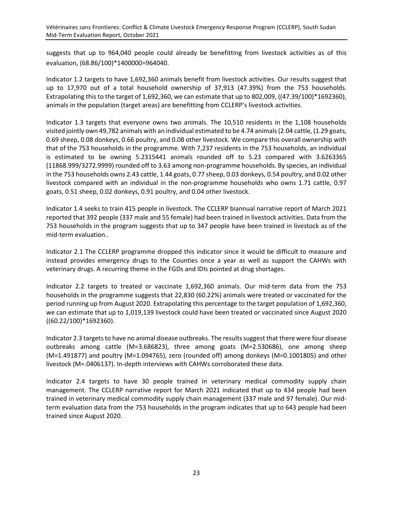suggests that up to 964,040 people could already be benefitting from livestock activities as of this evaluation, (68.86/100)\*1400000=964040.

Indicator 1.2 targets to have 1,692,360 animals benefit from livestock activities. Our results suggest that up to 17,970 out of a total household ownership of 37,913 (47.39%) from the 753 households. Extrapolating this to the target of 1,692,360, we can estimate that up to 802,009, ((47.39/100)\*1692360), animals in the population (target areas) are benefitting from CCLERP's livestock activities.

Indicator 1.3 targets that everyone owns two animals. The 10,510 residents in the 1,108 households visited jointly own 49,782 animals with an individual estimated to be 4.74 animals(2.04 cattle, (1.29 goats, 0.69 sheep, 0.08 donkeys, 0.66 poultry, and 0.08 other livestock. We compare this overall ownership with that of the 753 households in the programme. With 7,237 residents in the 753 households, an individual is estimated to be owning 5.2315441 animals rounded off to 5.23 compared with 3.6263365 (11868.999/3272.9999) rounded off to 3.63 among non-programme households. By species, an individual in the 753 households owns 2.43 cattle, 1.44 goats, 0.77 sheep, 0.03 donkeys, 0.54 poultry, and 0.02 other livestock compared with an individual in the non-programme households who owns 1.71 cattle, 0.97 goats, 0.51 sheep, 0.02 donkeys, 0.91 poultry, and 0.04 other livestock.

Indicator 1.4 seeks to train 415 people in livestock. The CCLERP biannual narrative report of March 2021 reported that 392 people (337 male and 55 female) had been trained in livestock activities. Data from the 753 households in the program suggests that up to 347 people have been trained in livestock as of the mid-term evaluation..

Indicator 2.1 The CCLERP programme dropped this indicator since it would be difficult to measure and instead provides emergency drugs to the Counties once a year as well as support the CAHWs with veterinary drugs. A recurring theme in the FGDs and IDIs pointed at drug shortages.

Indicator 2.2 targets to treated or vaccinate 1,692,360 animals. Our mid-term data from the 753 households in the programme suggests that 22,830 (60.22%) animals were treated or vaccinated for the period running up from August 2020. Extrapolating this percentage to the target population of 1,692,360, we can estimate that up to 1,019,139 livestock could have been treated or vaccinated since August 2020 ((60.22/100)\*1692360).

Indicator 2.3 targets to have no animal disease outbreaks. The results suggest that there were four disease outbreaks among cattle (M=3.686823), three among goats (M=2.530686), one among sheep (M=1.491877) and poultry (M=1.094765), zero (rounded off) among donkeys (M=0.1001805) and other livestock (M=.0406137). In-depth interviews with CAHWs corroborated these data.

Indicator 2.4 targets to have 30 people trained in veterinary medical commodity supply chain management. The CCLERP narrative report for March 2021 indicated that up to 434 people had been trained in veterinary medical commodity supply chain management (337 male and 97 female). Our midterm evaluation data from the 753 households in the program indicates that up to 643 people had been trained since August 2020.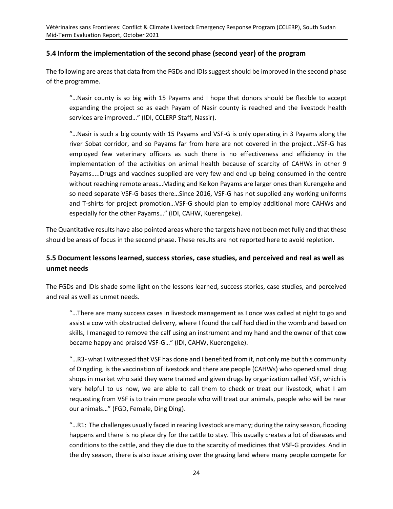#### <span id="page-34-0"></span>**5.4 Inform the implementation of the second phase (second year) of the program**

The following are areas that data from the FGDs and IDIs suggest should be improved in the second phase of the programme.

"…Nasir county is so big with 15 Payams and I hope that donors should be flexible to accept expanding the project so as each Payam of Nasir county is reached and the livestock health services are improved…" (IDI, CCLERP Staff, Nassir).

"…Nasir is such a big county with 15 Payams and VSF-G is only operating in 3 Payams along the river Sobat corridor, and so Payams far from here are not covered in the project…VSF-G has employed few veterinary officers as such there is no effectiveness and efficiency in the implementation of the activities on animal health because of scarcity of CAHWs in other 9 Payams…..Drugs and vaccines supplied are very few and end up being consumed in the centre without reaching remote areas…Mading and Keikon Payams are larger ones than Kurengeke and so need separate VSF-G bases there…Since 2016, VSF-G has not supplied any working uniforms and T-shirts for project promotion…VSF-G should plan to employ additional more CAHWs and especially for the other Payams…" (IDI, CAHW, Kuerengeke).

The Quantitative results have also pointed areas where the targets have not been met fully and that these should be areas of focus in the second phase. These results are not reported here to avoid repletion.

### <span id="page-34-1"></span>**5.5 Document lessons learned, success stories, case studies, and perceived and real as well as unmet needs**

The FGDs and IDIs shade some light on the lessons learned, success stories, case studies, and perceived and real as well as unmet needs.

"…There are many success cases in livestock management as I once was called at night to go and assist a cow with obstructed delivery, where I found the calf had died in the womb and based on skills, I managed to remove the calf using an instrument and my hand and the owner of that cow became happy and praised VSF-G…" (IDI, CAHW, Kuerengeke).

"…R3- what I witnessed that VSF has done and I benefited from it, not only me but this community of Dingding, is the vaccination of livestock and there are people (CAHWs) who opened small drug shops in market who said they were trained and given drugs by organization called VSF, which is very helpful to us now, we are able to call them to check or treat our livestock, what I am requesting from VSF is to train more people who will treat our animals, people who will be near our animals…" (FGD, Female, Ding Ding).

"…R1: The challenges usually faced in rearing livestock are many; during the rainy season, flooding happens and there is no place dry for the cattle to stay. This usually creates a lot of diseases and conditions to the cattle, and they die due to the scarcity of medicines that VSF-G provides. And in the dry season, there is also issue arising over the grazing land where many people compete for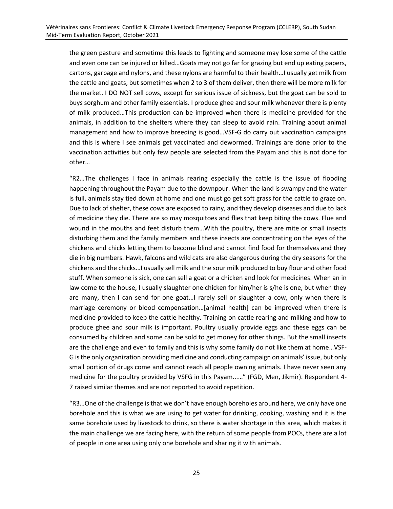the green pasture and sometime this leads to fighting and someone may lose some of the cattle and even one can be injured or killed…Goats may not go far for grazing but end up eating papers, cartons, garbage and nylons, and these nylons are harmful to their health…I usually get milk from the cattle and goats, but sometimes when 2 to 3 of them deliver, then there will be more milk for the market. I DO NOT sell cows, except for serious issue of sickness, but the goat can be sold to buys sorghum and other family essentials. I produce ghee and sour milk whenever there is plenty of milk produced…This production can be improved when there is medicine provided for the animals, in addition to the shelters where they can sleep to avoid rain. Training about animal management and how to improve breeding is good…VSF-G do carry out vaccination campaigns and this is where I see animals get vaccinated and dewormed. Trainings are done prior to the vaccination activities but only few people are selected from the Payam and this is not done for other…

"R2…The challenges I face in animals rearing especially the cattle is the issue of flooding happening throughout the Payam due to the downpour. When the land is swampy and the water is full, animals stay tied down at home and one must go get soft grass for the cattle to graze on. Due to lack of shelter, these cows are exposed to rainy, and they develop diseases and due to lack of medicine they die. There are so may mosquitoes and flies that keep biting the cows. Flue and wound in the mouths and feet disturb them…With the poultry, there are mite or small insects disturbing them and the family members and these insects are concentrating on the eyes of the chickens and chicks letting them to become blind and cannot find food for themselves and they die in big numbers. Hawk, falcons and wild cats are also dangerous during the dry seasons for the chickens and the chicks…I usually sell milk and the sour milk produced to buy flour and other food stuff. When someone is sick, one can sell a goat or a chicken and look for medicines. When an in law come to the house, I usually slaughter one chicken for him/her is s/he is one, but when they are many, then I can send for one goat…I rarely sell or slaughter a cow, only when there is marriage ceremony or blood compensation…[animal health] can be improved when there is medicine provided to keep the cattle healthy. Training on cattle rearing and milking and how to produce ghee and sour milk is important. Poultry usually provide eggs and these eggs can be consumed by children and some can be sold to get money for other things. But the small insects are the challenge and even to family and this is why some family do not like them at home…VSF-G is the only organization providing medicine and conducting campaign on animals' issue, but only small portion of drugs come and cannot reach all people owning animals. I have never seen any medicine for the poultry provided by VSFG in this Payam...…" (FGD, Men, Jikmir). Respondent 4- 7 raised similar themes and are not reported to avoid repetition.

"R3…One of the challenge is that we don't have enough boreholes around here, we only have one borehole and this is what we are using to get water for drinking, cooking, washing and it is the same borehole used by livestock to drink, so there is water shortage in this area, which makes it the main challenge we are facing here, with the return of some people from POCs, there are a lot of people in one area using only one borehole and sharing it with animals.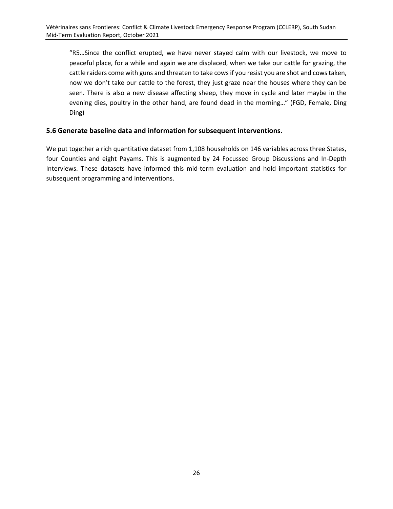"R5...Since the conflict erupted, we have never stayed calm with our livestock, we move to peaceful place, for a while and again we are displaced, when we take our cattle for grazing, the cattle raiders come with guns and threaten to take cows if you resist you are shot and cows taken, now we don't take our cattle to the forest, they just graze near the houses where they can be seen. There is also a new disease affecting sheep, they move in cycle and later maybe in the evening dies, poultry in the other hand, are found dead in the morning..." (FGD, Female, Ding Ding)

#### <span id="page-36-0"></span>5.6 Generate baseline data and information for subsequent interventions.

We put together a rich quantitative dataset from 1,108 households on 146 variables across three States, four Counties and eight Payams. This is augmented by 24 Focussed Group Discussions and In-Depth Interviews. These datasets have informed this mid-term evaluation and hold important statistics for subsequent programming and interventions.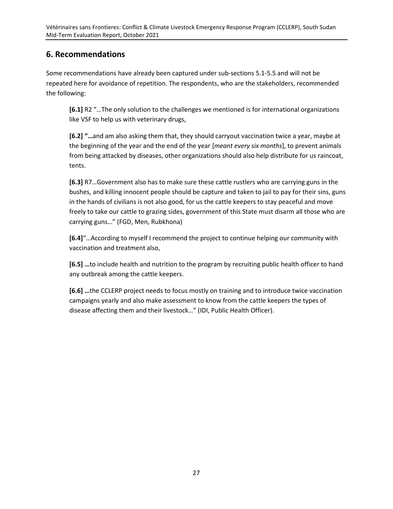## <span id="page-37-0"></span>**6. Recommendations**

Some recommendations have already been captured under sub-sections 5.1-5.5 and will not be repeated here for avoidance of repetition. The respondents, who are the stakeholders, recommended the following:

**[6.1]** R2 "…The only solution to the challenges we mentioned is for international organizations like VSF to help us with veterinary drugs,

**[6.2] "…**and am also asking them that, they should carryout vaccination twice a year, maybe at the beginning of the year and the end of the year [*meant every six months*], to prevent animals from being attacked by diseases, other organizations should also help distribute for us raincoat, tents.

**[6.3]** R7…Government also has to make sure these cattle rustlers who are carrying guns in the bushes, and killing innocent people should be capture and taken to jail to pay for their sins, guns in the hands of civilians is not also good, for us the cattle keepers to stay peaceful and move freely to take our cattle to grazing sides, government of this State must disarm all those who are carrying guns…" (FGD, Men, Rubkhona)

**[6.4]**"…According to myself I recommend the project to continue helping our community with vaccination and treatment also,

**[6.5] …**to include health and nutrition to the program by recruiting public health officer to hand any outbreak among the cattle keepers.

**[6.6] …**the CCLERP project needs to focus mostly on training and to introduce twice vaccination campaigns yearly and also make assessment to know from the cattle keepers the types of disease affecting them and their livestock…" (IDI, Public Health Officer).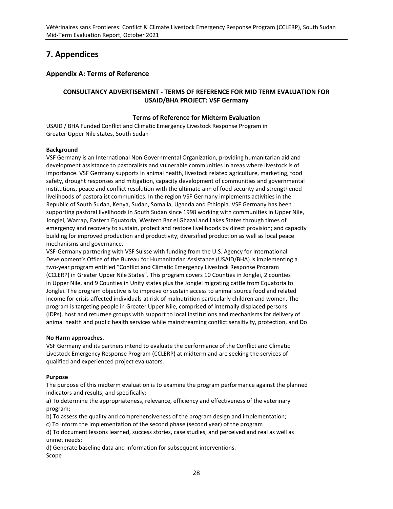## <span id="page-38-0"></span>**7. Appendices**

#### <span id="page-38-1"></span>**Appendix A: Terms of Reference**

#### **CONSULTANCY ADVERTISEMENT - TERMS OF REFERENCE FOR MID TERM EVALUATION FOR USAID/BHA PROJECT: VSF Germany**

#### **Terms of Reference for Midterm Evaluation**

USAID / BHA Funded Conflict and Climatic Emergency Livestock Response Program in Greater Upper Nile states, South Sudan

#### **Background**

VSF Germany is an International Non Governmental Organization, providing humanitarian aid and development assistance to pastoralists and vulnerable communities in areas where livestock is of importance. VSF Germany supports in animal health, livestock related agriculture, marketing, food safety, drought responses and mitigation, capacity development of communities and governmental institutions, peace and conflict resolution with the ultimate aim of food security and strengthened livelihoods of pastoralist communities. In the region VSF Germany implements activities in the Republic of South Sudan, Kenya, Sudan, Somalia, Uganda and Ethiopia. VSF Germany has been supporting pastoral livelihoods in South Sudan since 1998 working with communities in Upper Nile, Jonglei, Warrap, Eastern Equatoria, Western Bar el Ghazal and Lakes States through times of emergency and recovery to sustain, protect and restore livelihoods by direct provision; and capacity building for improved production and productivity, diversified production as well as local peace mechanisms and governance.

VSF-Germany partnering with VSF Suisse with funding from the U.S. Agency for International Development's Office of the Bureau for Humanitarian Assistance (USAID/BHA) is implementing a two-year program entitled "Conflict and Climatic Emergency Livestock Response Program (CCLERP) in Greater Upper Nile States". This program covers 10 Counties in Jonglei, 2 counties in Upper Nile, and 9 Counties in Unity states plus the Jonglei migrating cattle from Equatoria to Jonglei. The program objective is to improve or sustain access to animal source food and related income for crisis-affected individuals at risk of malnutrition particularly children and women. The program is targeting people in Greater Upper Nile, comprised of internally displaced persons (IDPs), host and returnee groups with support to local institutions and mechanisms for delivery of animal health and public health services while mainstreaming conflict sensitivity, protection, and Do

#### **No Harm approaches.**

VSF Germany and its partners intend to evaluate the performance of the Conflict and Climatic Livestock Emergency Response Program (CCLERP) at midterm and are seeking the services of qualified and experienced project evaluators.

#### **Purpose**

The purpose of this midterm evaluation is to examine the program performance against the planned indicators and results, and specifically:

a) To determine the appropriateness, relevance, efficiency and effectiveness of the veterinary program;

b) To assess the quality and comprehensiveness of the program design and implementation;

c) To inform the implementation of the second phase (second year) of the program

d) To document lessons learned, success stories, case studies, and perceived and real as well as unmet needs;

d) Generate baseline data and information for subsequent interventions. Scope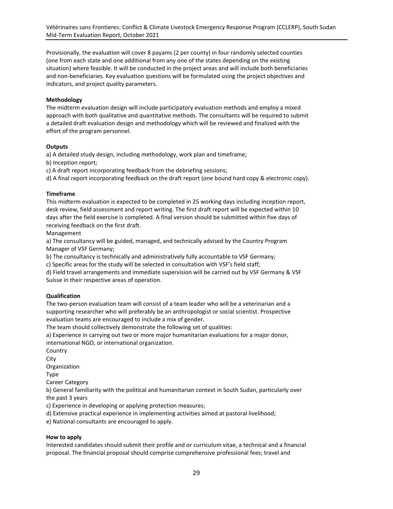Provisionally, the evaluation will cover 8 payams (2 per county) in four randomly selected counties (one from each state and one additional from any one of the states depending on the existing situation) where feasible. It will be conducted in the project areas and will include both beneficiaries and non-beneficiaries. Key evaluation questions will be formulated using the project objectives and indicators, and project quality parameters.

#### **Methodology**

The midterm evaluation design will include participatory evaluation methods and employ a mixed approach with both qualitative and quantitative methods. The consultants will be required to submit a detailed draft evaluation design and methodology which will be reviewed and finalized with the effort of the program personnel.

#### **Outputs**

a) A detailed study design, including methodology, work plan and timeframe;

b) Inception report;

c) A draft report incorporating feedback from the debriefing sessions;

d) A final report incorporating feedback on the draft report (one bound hard copy & electronic copy).

#### **Timeframe**

This midterm evaluation is expected to be completed in 25 working days including inception report, desk review, field assessment and report writing. The first draft report will be expected within 10 days after the field exercise is completed. A final version should be submitted within five days of receiving feedback on the first draft.

Management

a) The consultancy will be guided, managed, and technically advised by the Country Program Manager of VSF Germany;

b) The consultancy is technically and administratively fully accountable to VSF Germany;

c) Specific areas for the study will be selected in consultation with VSF's field staff;

d) Field travel arrangements and immediate supervision will be carried out by VSF Germany & VSF Suisse in their respective areas of operation.

#### **Qualification**

The two-person evaluation team will consist of a team leader who will be a veterinarian and a supporting researcher who will preferably be an anthropologist or social scientist. Prospective evaluation teams are encouraged to include a mix of gender.

The team should collectively demonstrate the following set of qualities:

a) Experience in carrying out two or more major humanitarian evaluations for a major donor, international NGO, or international organization.

**Country** 

City

Organization

Type

Career Category

b) General familiarity with the political and humanitarian context in South Sudan, particularly over the past 3 years

c) Experience in developing or applying protection measures;

d) Extensive practical experience in implementing activities aimed at pastoral livelihood;

e) National consultants are encouraged to apply.

#### **How to apply**

Interested candidates should submit their profile and or curriculum vitae, a technical and a financial proposal. The financial proposal should comprise comprehensive professional fees; travel and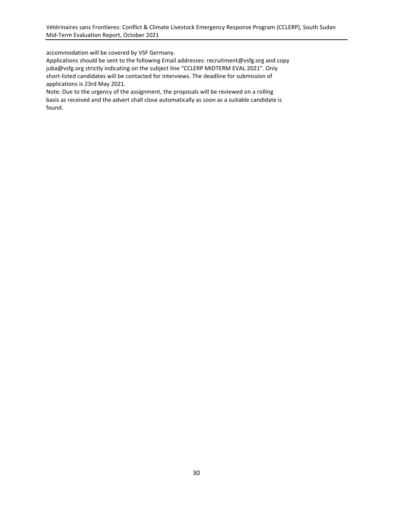accommodation will be covered by VSF Germany.

Applications should be sent to the following Email addresses: recruitment@vsfg.org and copy juba@vsfg.org strictly indicating on the subject line "CCLERP MIDTERM EVAL 2021". Only short-listed candidates will be contacted for interviews. The deadline for submission of applications is 23rd May 2021.

Note: Due to the urgency of the assignment, the proposals will be reviewed on a rolling basis as received and the advert shall close automatically as soon as a suitable candidate is found.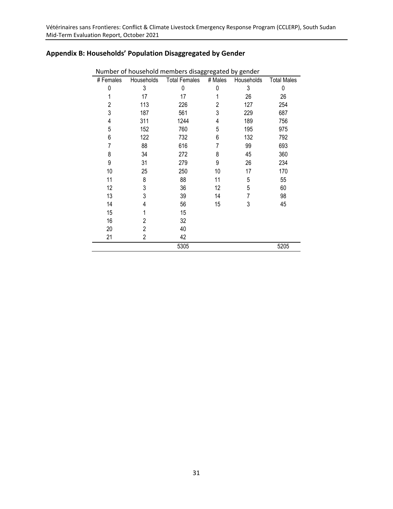| ivumber of nousenoid members disaggregated by gender |            |                      |              |            |                    |  |
|------------------------------------------------------|------------|----------------------|--------------|------------|--------------------|--|
| # Females                                            | Households | <b>Total Females</b> | # Males      | Households | <b>Total Males</b> |  |
| 0                                                    | 3          | 0                    | <sup>0</sup> | 3          | $\Omega$           |  |
| 1                                                    | 17         | 17                   |              | 26         | 26                 |  |
| $\overline{c}$                                       | 113        | 226                  | 2            | 127        | 254                |  |
| 3                                                    | 187        | 561                  | 3            | 229        | 687                |  |
| 4                                                    | 311        | 1244                 | 4            | 189        | 756                |  |
| 5                                                    | 152        | 760                  | 5            | 195        | 975                |  |
| 6                                                    | 122        | 732                  | 6            | 132        | 792                |  |
| 7                                                    | 88         | 616                  | 7            | 99         | 693                |  |
| 8                                                    | 34         | 272                  | 8            | 45         | 360                |  |
| 9                                                    | 31         | 279                  | 9            | 26         | 234                |  |
| 10                                                   | 25         | 250                  | 10           | 17         | 170                |  |
| 11                                                   | 8          | 88                   | 11           | 5          | 55                 |  |
| 12                                                   | 3          | 36                   | 12           | 5          | 60                 |  |
| 13                                                   | 3          | 39                   | 14           | 7          | 98                 |  |
| 14                                                   | 4          | 56                   | 15           | 3          | 45                 |  |
| 15                                                   | 1          | 15                   |              |            |                    |  |
| 16                                                   | 2          | 32                   |              |            |                    |  |
| 20                                                   | 2          | 40                   |              |            |                    |  |
| 21                                                   | 2          | 42                   |              |            |                    |  |
|                                                      |            | 5305                 |              |            | 5205               |  |

Number of household members disaggregated by gender